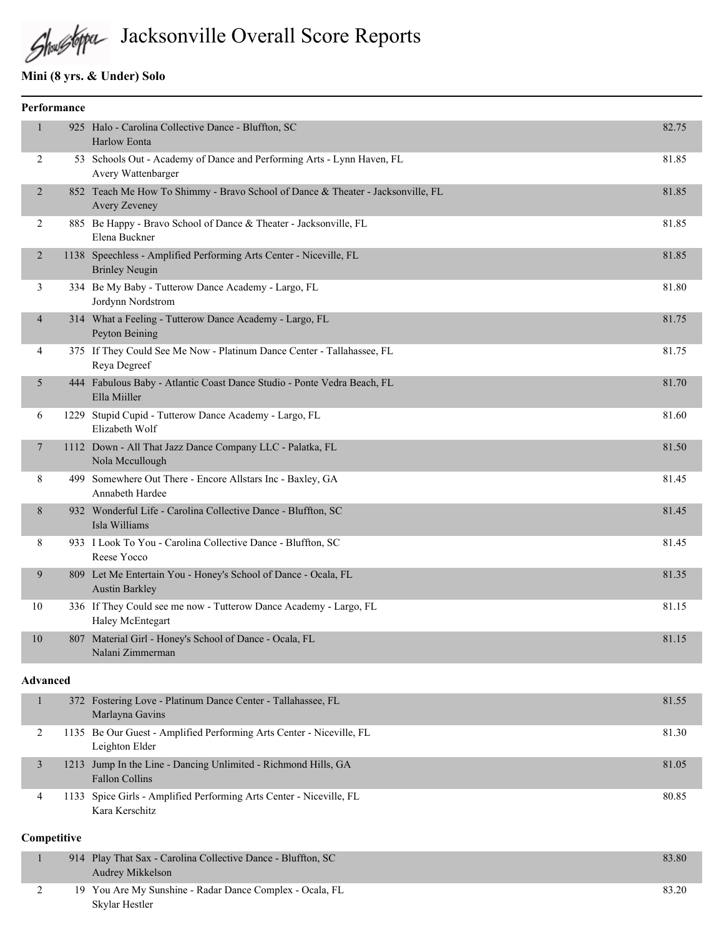

# Shustopa Jacksonville Overall Score Reports

## **Mini (8 yrs. & Under) Solo**

|                | Performance     |                                                                                                  |       |
|----------------|-----------------|--------------------------------------------------------------------------------------------------|-------|
| 1              |                 | 925 Halo - Carolina Collective Dance - Bluffton, SC<br>Harlow Eonta                              | 82.75 |
| 2              |                 | 53 Schools Out - Academy of Dance and Performing Arts - Lynn Haven, FL<br>Avery Wattenbarger     | 81.85 |
| 2              |                 | 852 Teach Me How To Shimmy - Bravo School of Dance & Theater - Jacksonville, FL<br>Avery Zeveney | 81.85 |
| 2              |                 | 885 Be Happy - Bravo School of Dance & Theater - Jacksonville, FL<br>Elena Buckner               | 81.85 |
| 2              |                 | 1138 Speechless - Amplified Performing Arts Center - Niceville, FL<br><b>Brinley Neugin</b>      | 81.85 |
| 3              |                 | 334 Be My Baby - Tutterow Dance Academy - Largo, FL<br>Jordynn Nordstrom                         | 81.80 |
| $\overline{4}$ |                 | 314 What a Feeling - Tutterow Dance Academy - Largo, FL<br>Peyton Beining                        | 81.75 |
| 4              |                 | 375 If They Could See Me Now - Platinum Dance Center - Tallahassee, FL<br>Reya Degreef           | 81.75 |
| 5              |                 | 444 Fabulous Baby - Atlantic Coast Dance Studio - Ponte Vedra Beach, FL<br>Ella Miiller          | 81.70 |
| 6              |                 | 1229 Stupid Cupid - Tutterow Dance Academy - Largo, FL<br>Elizabeth Wolf                         | 81.60 |
| 7              |                 | 1112 Down - All That Jazz Dance Company LLC - Palatka, FL<br>Nola Mccullough                     | 81.50 |
| 8              |                 | 499 Somewhere Out There - Encore Allstars Inc - Baxley, GA<br>Annabeth Hardee                    | 81.45 |
| 8              |                 | 932 Wonderful Life - Carolina Collective Dance - Bluffton, SC<br>Isla Williams                   | 81.45 |
| 8              |                 | 933 I Look To You - Carolina Collective Dance - Bluffton, SC<br>Reese Yocco                      | 81.45 |
| 9              |                 | 809 Let Me Entertain You - Honey's School of Dance - Ocala, FL<br><b>Austin Barkley</b>          | 81.35 |
| 10             |                 | 336 If They Could see me now - Tutterow Dance Academy - Largo, FL<br>Haley McEntegart            | 81.15 |
| 10             |                 | 807 Material Girl - Honey's School of Dance - Ocala, FL<br>Nalani Zimmerman                      | 81.15 |
|                | <b>Advanced</b> |                                                                                                  |       |
| $\mathbf{1}$   |                 | 372 Fostering Love - Platinum Dance Center - Tallahassee, FL<br>Marlayna Gavins                  | 81.55 |
| 2              |                 | 1135 Be Our Guest - Amplified Performing Arts Center - Niceville, FL<br>Leighton Elder           | 81.30 |
| $\mathfrak{Z}$ |                 | 1213 Jump In the Line - Dancing Unlimited - Richmond Hills, GA<br><b>Fallon Collins</b>          | 81.05 |
| 4              |                 | 1133 Spice Girls - Amplified Performing Arts Center - Niceville, FL<br>Kara Kerschitz            | 80.85 |

#### **Competitive**

|  | 914 Play That Sax - Carolina Collective Dance - Bluffton, SC<br>Audrey Mikkelson | 83.80 |
|--|----------------------------------------------------------------------------------|-------|
|  | 19 You Are My Sunshine - Radar Dance Complex - Ocala, FL                         | 83.20 |
|  | Skylar Hestler                                                                   |       |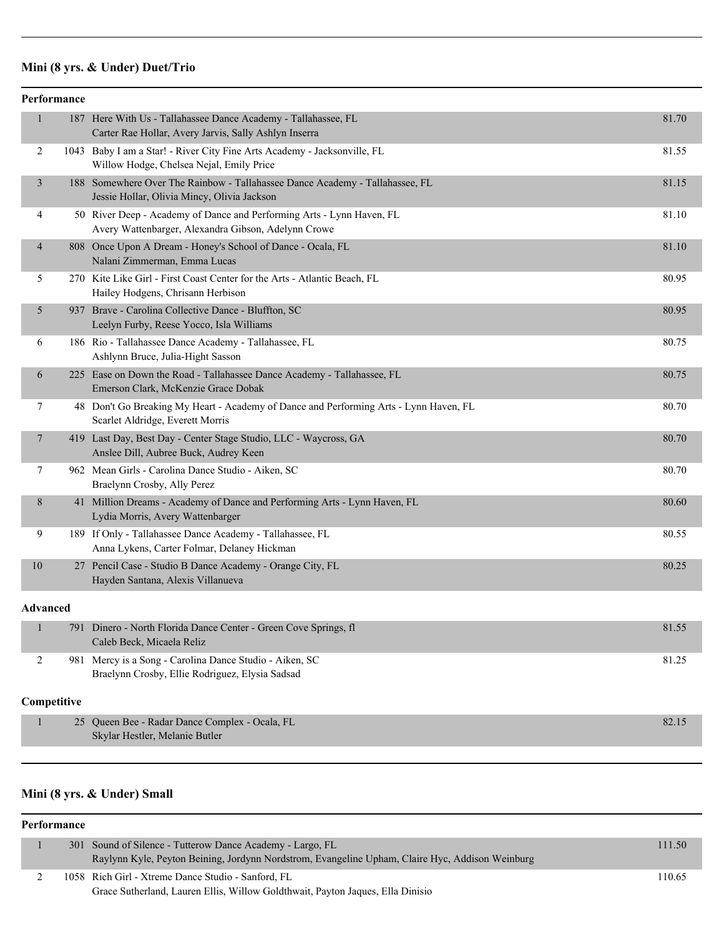# **Mini (8 yrs. & Under) Duet/Trio**

| Performance             |                                                                                                                              |       |
|-------------------------|------------------------------------------------------------------------------------------------------------------------------|-------|
| $\mathbf{1}$            | 187 Here With Us - Tallahassee Dance Academy - Tallahassee, FL<br>Carter Rae Hollar, Avery Jarvis, Sally Ashlyn Inserra      | 81.70 |
| 2                       | 1043 Baby I am a Star! - River City Fine Arts Academy - Jacksonville, FL<br>Willow Hodge, Chelsea Nejal, Emily Price         | 81.55 |
| $\overline{\mathbf{3}}$ | 188 Somewhere Over The Rainbow - Tallahassee Dance Academy - Tallahassee, FL<br>Jessie Hollar, Olivia Mincy, Olivia Jackson  | 81.15 |
| 4                       | 50 River Deep - Academy of Dance and Performing Arts - Lynn Haven, FL<br>Avery Wattenbarger, Alexandra Gibson, Adelynn Crowe | 81.10 |
| 4                       | 808 Once Upon A Dream - Honey's School of Dance - Ocala, FL<br>Nalani Zimmerman, Emma Lucas                                  | 81.10 |
| 5                       | 270 Kite Like Girl - First Coast Center for the Arts - Atlantic Beach, FL<br>Hailey Hodgens, Chrisann Herbison               | 80.95 |
| 5                       | 937 Brave - Carolina Collective Dance - Bluffton, SC<br>Leelyn Furby, Reese Yocco, Isla Williams                             | 80.95 |
| 6                       | 186 Rio - Tallahassee Dance Academy - Tallahassee, FL<br>Ashlynn Bruce, Julia-Hight Sasson                                   | 80.75 |
| 6                       | 225 Ease on Down the Road - Tallahassee Dance Academy - Tallahassee, FL<br>Emerson Clark, McKenzie Grace Dobak               | 80.75 |
| 7                       | 48 Don't Go Breaking My Heart - Academy of Dance and Performing Arts - Lynn Haven, FL<br>Scarlet Aldridge, Everett Morris    | 80.70 |
| $\overline{7}$          | 419 Last Day, Best Day - Center Stage Studio, LLC - Waycross, GA<br>Anslee Dill, Aubree Buck, Audrey Keen                    | 80.70 |
| 7                       | 962 Mean Girls - Carolina Dance Studio - Aiken, SC<br>Braelynn Crosby, Ally Perez                                            | 80.70 |
| 8                       | 41 Million Dreams - Academy of Dance and Performing Arts - Lynn Haven, FL<br>Lydia Morris, Avery Wattenbarger                | 80.60 |
| 9                       | 189 If Only - Tallahassee Dance Academy - Tallahassee, FL<br>Anna Lykens, Carter Folmar, Delaney Hickman                     | 80.55 |
| 10                      | 27 Pencil Case - Studio B Dance Academy - Orange City, FL<br>Hayden Santana, Alexis Villanueva                               | 80.25 |
| <b>Advanced</b>         |                                                                                                                              |       |
| 1                       | 791 Dinero - North Florida Dance Center - Green Cove Springs, fl<br>Caleb Beck, Micaela Reliz                                | 81.55 |
| $\overline{2}$          | 981 Mercy is a Song - Carolina Dance Studio - Aiken, SC<br>Braelynn Crosby, Ellie Rodriguez, Elysia Sadsad                   | 81.25 |
| Competitive             |                                                                                                                              |       |
| $\mathbf{1}$            | 25 Queen Bee - Radar Dance Complex - Ocala, FL<br>Skylar Hestler, Melanie Butler                                             | 82.15 |
|                         |                                                                                                                              |       |

## **Mini (8 yrs. & Under) Small**

#### **Performance**

|  | 301 Sound of Silence - Tutterow Dance Academy - Largo, FL                                       | 111.50 |
|--|-------------------------------------------------------------------------------------------------|--------|
|  | Raylynn Kyle, Peyton Beining, Jordynn Nordstrom, Evangeline Upham, Claire Hyc, Addison Weinburg |        |
|  | 1058 Rich Girl - Xtreme Dance Studio - Sanford, FL                                              | 110.65 |
|  | Grace Sutherland, Lauren Ellis, Willow Goldthwait, Payton Jaques, Ella Dinisio                  |        |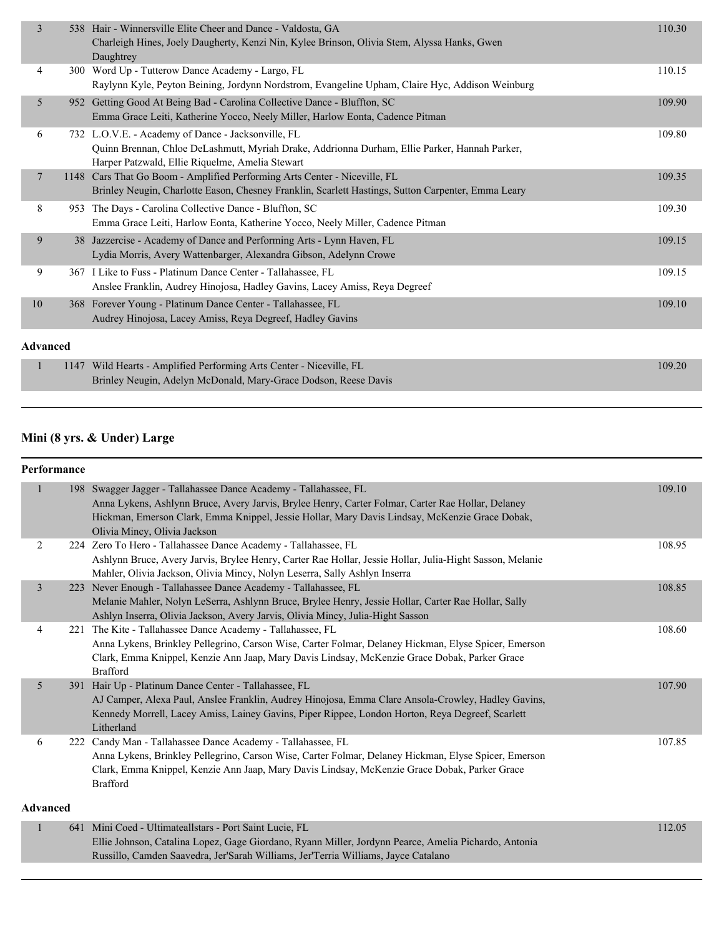| $\overline{3}$ | 538 Hair - Winnersville Elite Cheer and Dance - Valdosta, GA<br>Charleigh Hines, Joely Daugherty, Kenzi Nin, Kylee Brinson, Olivia Stem, Alyssa Hanks, Gwen<br>Daughtrey                               | 110.30 |
|----------------|--------------------------------------------------------------------------------------------------------------------------------------------------------------------------------------------------------|--------|
| 4              | 300 Word Up - Tutterow Dance Academy - Largo, FL<br>Raylynn Kyle, Peyton Beining, Jordynn Nordstrom, Evangeline Upham, Claire Hyc, Addison Weinburg                                                    | 110.15 |
| 5              | 952 Getting Good At Being Bad - Carolina Collective Dance - Bluffton, SC<br>Emma Grace Leiti, Katherine Yocco, Neely Miller, Harlow Eonta, Cadence Pitman                                              | 109.90 |
| 6              | 732 L.O.V.E. - Academy of Dance - Jacksonville, FL<br>Quinn Brennan, Chloe DeLashmutt, Myriah Drake, Addrionna Durham, Ellie Parker, Hannah Parker,<br>Harper Patzwald, Ellie Riquelme, Amelia Stewart | 109.80 |
| $\tau$         | 1148 Cars That Go Boom - Amplified Performing Arts Center - Niceville, FL<br>Brinley Neugin, Charlotte Eason, Chesney Franklin, Scarlett Hastings, Sutton Carpenter, Emma Leary                        | 109.35 |
| 8              | 953 The Days - Carolina Collective Dance - Bluffton, SC<br>Emma Grace Leiti, Harlow Eonta, Katherine Yocco, Neely Miller, Cadence Pitman                                                               | 109.30 |
| 9              | 38 Jazzercise - Academy of Dance and Performing Arts - Lynn Haven, FL<br>Lydia Morris, Avery Wattenbarger, Alexandra Gibson, Adelynn Crowe                                                             | 109.15 |
| 9              | 367 I Like to Fuss - Platinum Dance Center - Tallahassee, FL<br>Anslee Franklin, Audrey Hinojosa, Hadley Gavins, Lacey Amiss, Reya Degreef                                                             | 109.15 |
| 10             | 368 Forever Young - Platinum Dance Center - Tallahassee, FL<br>Audrey Hinojosa, Lacey Amiss, Reva Degreef, Hadley Gavins                                                                               | 109.10 |
| Advanced       |                                                                                                                                                                                                        |        |
|                | 1147 Wild Hearts - Amplified Performing Arts Center - Niceville, FL<br>Brinley Neugin, Adelyn McDonald, Mary-Grace Dodson, Reese Davis                                                                 | 109.20 |

## **Mini (8 yrs. & Under) Large**

#### **Performance**

| $\mathbf{1}$    |     | 198 Swagger Jagger - Tallahassee Dance Academy - Tallahassee, FL<br>Anna Lykens, Ashlynn Bruce, Avery Jarvis, Brylee Henry, Carter Folmar, Carter Rae Hollar, Delaney<br>Hickman, Emerson Clark, Emma Knippel, Jessie Hollar, Mary Davis Lindsay, McKenzie Grace Dobak,<br>Olivia Mincy, Olivia Jackson | 109.10 |
|-----------------|-----|---------------------------------------------------------------------------------------------------------------------------------------------------------------------------------------------------------------------------------------------------------------------------------------------------------|--------|
| 2               |     | 224 Zero To Hero - Tallahassee Dance Academy - Tallahassee, FL<br>Ashlynn Bruce, Avery Jarvis, Brylee Henry, Carter Rae Hollar, Jessie Hollar, Julia-Hight Sasson, Melanie<br>Mahler, Olivia Jackson, Olivia Mincy, Nolyn Leserra, Sally Ashlyn Inserra                                                 | 108.95 |
| 3               | 223 | Never Enough - Tallahassee Dance Academy - Tallahassee, FL<br>Melanie Mahler, Nolyn LeSerra, Ashlynn Bruce, Brylee Henry, Jessie Hollar, Carter Rae Hollar, Sally<br>Ashlyn Inserra, Olivia Jackson, Avery Jarvis, Olivia Mincy, Julia-Hight Sasson                                                     | 108.85 |
| 4               |     | 221 The Kite - Tallahassee Dance Academy - Tallahassee, FL<br>Anna Lykens, Brinkley Pellegrino, Carson Wise, Carter Folmar, Delaney Hickman, Elyse Spicer, Emerson<br>Clark, Emma Knippel, Kenzie Ann Jaap, Mary Davis Lindsay, McKenzie Grace Dobak, Parker Grace<br><b>Brafford</b>                   | 108.60 |
| 5               | 391 | Hair Up - Platinum Dance Center - Tallahassee, FL<br>AJ Camper, Alexa Paul, Anslee Franklin, Audrey Hinojosa, Emma Clare Ansola-Crowley, Hadley Gavins,<br>Kennedy Morrell, Lacey Amiss, Lainey Gavins, Piper Rippee, London Horton, Reya Degreef, Scarlett<br>Litherland                               | 107.90 |
| 6               |     | 222 Candy Man - Tallahassee Dance Academy - Tallahassee, FL<br>Anna Lykens, Brinkley Pellegrino, Carson Wise, Carter Folmar, Delaney Hickman, Elyse Spicer, Emerson<br>Clark, Emma Knippel, Kenzie Ann Jaap, Mary Davis Lindsay, McKenzie Grace Dobak, Parker Grace<br><b>Brafford</b>                  | 107.85 |
| <b>Advanced</b> |     |                                                                                                                                                                                                                                                                                                         |        |
| $\mathbf{1}$    |     | 641 Mini Coed - Ultimateallstars - Port Saint Lucie, FL<br>Ellie Johnson, Catalina Lopez, Gage Giordano, Ryann Miller, Jordynn Pearce, Amelia Pichardo, Antonia<br>Russillo, Camden Saavedra, Jer'Sarah Williams, Jer'Terria Williams, Jayce Catalano                                                   | 112.05 |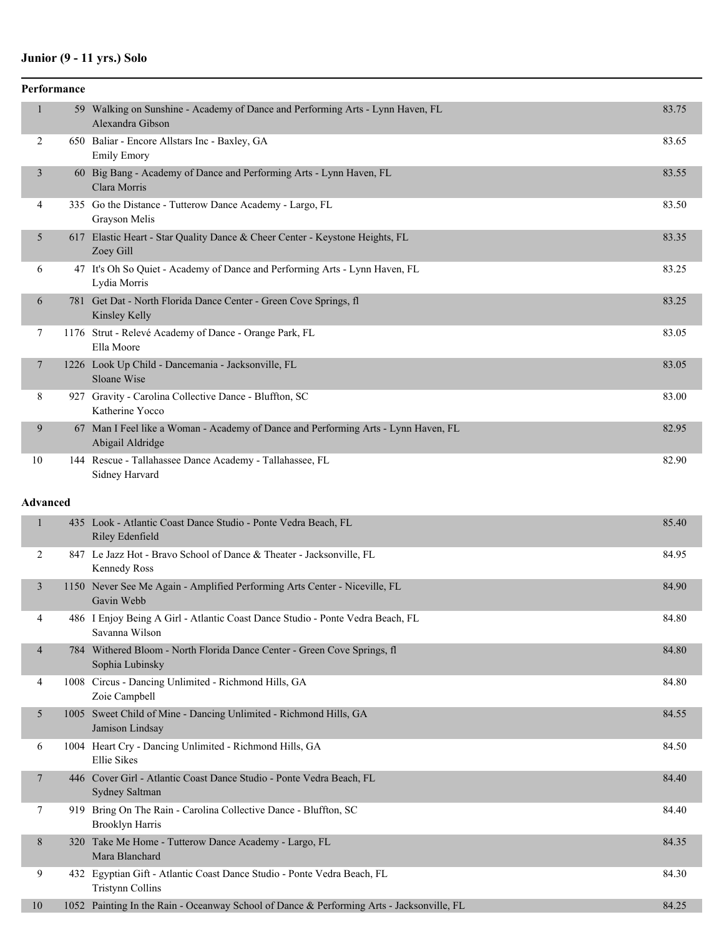## **Junior (9 - 11 yrs.) Solo**

|                 | Performance |                                                                                                        |       |
|-----------------|-------------|--------------------------------------------------------------------------------------------------------|-------|
|                 |             | 59 Walking on Sunshine - Academy of Dance and Performing Arts - Lynn Haven, FL<br>Alexandra Gibson     | 83.75 |
| 2               |             | 650 Baliar - Encore Allstars Inc - Baxley, GA<br><b>Emily Emory</b>                                    | 83.65 |
| 3               |             | 60 Big Bang - Academy of Dance and Performing Arts - Lynn Haven, FL<br>Clara Morris                    | 83.55 |
| 4               |             | 335 Go the Distance - Tutterow Dance Academy - Largo, FL<br>Grayson Melis                              | 83.50 |
| 5               |             | 617 Elastic Heart - Star Quality Dance & Cheer Center - Keystone Heights, FL<br>Zoey Gill              | 83.35 |
| 6               |             | 47 It's Oh So Quiet - Academy of Dance and Performing Arts - Lynn Haven, FL<br>Lydia Morris            | 83.25 |
| 6               |             | 781 Get Dat - North Florida Dance Center - Green Cove Springs, fl<br>Kinsley Kelly                     | 83.25 |
| 7               |             | 1176 Strut - Relevé Academy of Dance - Orange Park, FL<br>Ella Moore                                   | 83.05 |
| 7               |             | 1226 Look Up Child - Dancemania - Jacksonville, FL<br>Sloane Wise                                      | 83.05 |
| 8               |             | 927 Gravity - Carolina Collective Dance - Bluffton, SC<br>Katherine Yocco                              | 83.00 |
| 9               |             | 67 Man I Feel like a Woman - Academy of Dance and Performing Arts - Lynn Haven, FL<br>Abigail Aldridge | 82.95 |
| 10              |             | 144 Rescue - Tallahassee Dance Academy - Tallahassee, FL<br>Sidney Harvard                             | 82.90 |
| <b>Advanced</b> |             |                                                                                                        |       |
| $\mathbf{1}$    |             | 435 Look - Atlantic Coast Dance Studio - Ponte Vedra Beach, FL<br>Riley Edenfield                      | 85.40 |
| 2               |             | 847 Le Jazz Hot - Bravo School of Dance & Theater - Jacksonville, FL<br>Kennedy Ross                   | 84.95 |
| 3               |             | 1150 Never See Me Again - Amplified Performing Arts Center - Niceville, FL<br>Gavin Webb               | 84.90 |
| 4               |             | 486 I Enjoy Being A Girl - Atlantic Coast Dance Studio - Ponte Vedra Beach, FL<br>Savanna Wilson       | 84.80 |
| 4               |             | 784 Withered Bloom - North Florida Dance Center - Green Cove Springs, fl<br>Sophia Lubinsky            | 84.80 |
| 4               |             | 1008 Circus - Dancing Unlimited - Richmond Hills, GA<br>Zoie Campbell                                  | 84.80 |
| 5               |             | 1005 Sweet Child of Mine - Dancing Unlimited - Richmond Hills, GA<br>Jamison Lindsay                   | 84.55 |
| 6               |             | 1004 Heart Cry - Dancing Unlimited - Richmond Hills, GA<br>Ellie Sikes                                 | 84.50 |
| 7               |             | 446 Cover Girl - Atlantic Coast Dance Studio - Ponte Vedra Beach, FL<br>Sydney Saltman                 | 84.40 |
| 7               |             | 919 Bring On The Rain - Carolina Collective Dance - Bluffton, SC<br><b>Brooklyn Harris</b>             | 84.40 |
| 8               |             | 320 Take Me Home - Tutterow Dance Academy - Largo, FL<br>Mara Blanchard                                | 84.35 |
| 9               |             | 432 Egyptian Gift - Atlantic Coast Dance Studio - Ponte Vedra Beach, FL<br><b>Tristynn Collins</b>     | 84.30 |
| $10\,$          |             | 1052 Painting In the Rain - Oceanway School of Dance & Performing Arts - Jacksonville, FL              | 84.25 |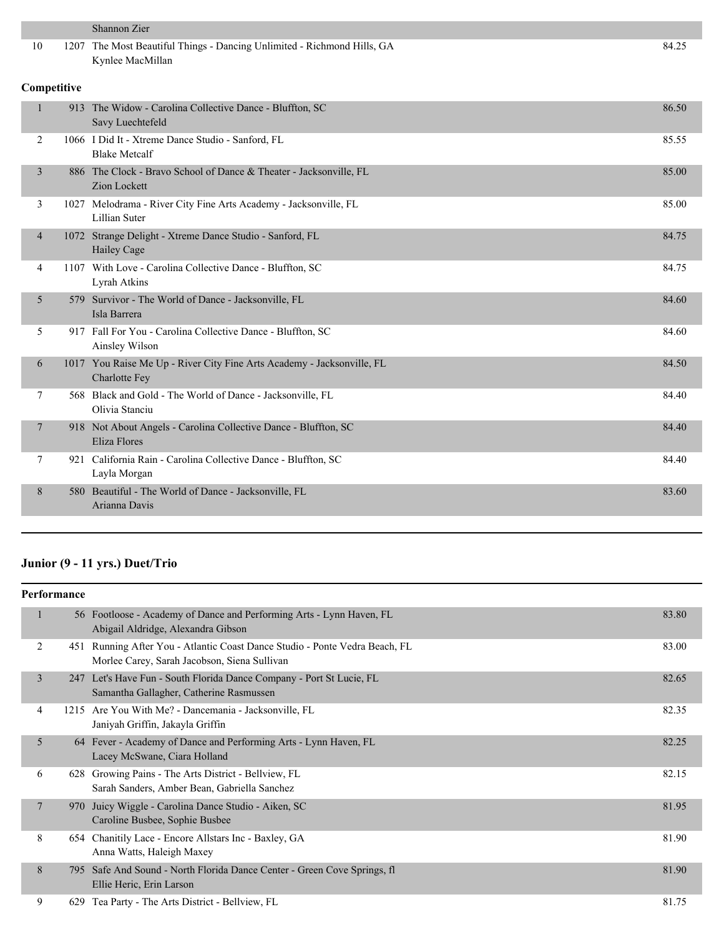| 10<br>1207 The Most Beautiful Things - Dancing Unlimited - Richmond Hills, GA<br>84.25<br>Kynlee MacMillan<br>Competitive<br>$\mathbf{1}$<br>913 The Widow - Carolina Collective Dance - Bluffton, SC<br>86.50<br>Savy Luechtefeld<br>1066 I Did It - Xtreme Dance Studio - Sanford, FL<br>85.55<br>2<br><b>Blake Metcalf</b><br>886 The Clock - Bravo School of Dance & Theater - Jacksonville, FL<br>85.00<br>3<br><b>Zion Lockett</b><br>1027 Melodrama - River City Fine Arts Academy - Jacksonville, FL<br>3<br>85.00<br>Lillian Suter<br>1072 Strange Delight - Xtreme Dance Studio - Sanford, FL<br>84.75<br>$\overline{\mathcal{A}}$<br>Hailey Cage |  |
|-------------------------------------------------------------------------------------------------------------------------------------------------------------------------------------------------------------------------------------------------------------------------------------------------------------------------------------------------------------------------------------------------------------------------------------------------------------------------------------------------------------------------------------------------------------------------------------------------------------------------------------------------------------|--|
|                                                                                                                                                                                                                                                                                                                                                                                                                                                                                                                                                                                                                                                             |  |
|                                                                                                                                                                                                                                                                                                                                                                                                                                                                                                                                                                                                                                                             |  |
|                                                                                                                                                                                                                                                                                                                                                                                                                                                                                                                                                                                                                                                             |  |
|                                                                                                                                                                                                                                                                                                                                                                                                                                                                                                                                                                                                                                                             |  |
|                                                                                                                                                                                                                                                                                                                                                                                                                                                                                                                                                                                                                                                             |  |
|                                                                                                                                                                                                                                                                                                                                                                                                                                                                                                                                                                                                                                                             |  |
|                                                                                                                                                                                                                                                                                                                                                                                                                                                                                                                                                                                                                                                             |  |
| 1107 With Love - Carolina Collective Dance - Bluffton, SC<br>84.75<br>4<br>Lyrah Atkins                                                                                                                                                                                                                                                                                                                                                                                                                                                                                                                                                                     |  |
| 579 Survivor - The World of Dance - Jacksonville, FL<br>84.60<br>5<br>Isla Barrera                                                                                                                                                                                                                                                                                                                                                                                                                                                                                                                                                                          |  |
| 5<br>917 Fall For You - Carolina Collective Dance - Bluffton, SC<br>84.60<br>Ainsley Wilson                                                                                                                                                                                                                                                                                                                                                                                                                                                                                                                                                                 |  |
| 1017 You Raise Me Up - River City Fine Arts Academy - Jacksonville, FL<br>84.50<br>6<br>Charlotte Fey                                                                                                                                                                                                                                                                                                                                                                                                                                                                                                                                                       |  |
| 7<br>568 Black and Gold - The World of Dance - Jacksonville, FL<br>84.40<br>Olivia Stanciu                                                                                                                                                                                                                                                                                                                                                                                                                                                                                                                                                                  |  |
| 918 Not About Angels - Carolina Collective Dance - Bluffton, SC<br>84.40<br>7<br>Eliza Flores                                                                                                                                                                                                                                                                                                                                                                                                                                                                                                                                                               |  |
| 921 California Rain - Carolina Collective Dance - Bluffton, SC<br>7<br>84.40<br>Layla Morgan                                                                                                                                                                                                                                                                                                                                                                                                                                                                                                                                                                |  |
| 580 Beautiful - The World of Dance - Jacksonville, FL<br>8<br>83.60<br>Arianna Davis                                                                                                                                                                                                                                                                                                                                                                                                                                                                                                                                                                        |  |

# **Junior (9 - 11 yrs.) Duet/Trio**

|                | <b>Performance</b> |                                                                                                                             |       |
|----------------|--------------------|-----------------------------------------------------------------------------------------------------------------------------|-------|
|                |                    | 56 Footloose - Academy of Dance and Performing Arts - Lynn Haven, FL<br>Abigail Aldridge, Alexandra Gibson                  | 83.80 |
| 2              |                    | 451 Running After You - Atlantic Coast Dance Studio - Ponte Vedra Beach, FL<br>Morlee Carey, Sarah Jacobson, Siena Sullivan | 83.00 |
| 3              |                    | 247 Let's Have Fun - South Florida Dance Company - Port St Lucie, FL<br>Samantha Gallagher, Catherine Rasmussen             | 82.65 |
| $\overline{4}$ |                    | 1215 Are You With Me? - Dancemania - Jacksonville, FL<br>Janiyah Griffin, Jakayla Griffin                                   | 82.35 |
| 5              |                    | 64 Fever - Academy of Dance and Performing Arts - Lynn Haven, FL<br>Lacey McSwane, Ciara Holland                            | 82.25 |
| 6              | 628                | Growing Pains - The Arts District - Bellview, FL<br>Sarah Sanders, Amber Bean, Gabriella Sanchez                            | 82.15 |
| 7              | 970                | Juicy Wiggle - Carolina Dance Studio - Aiken, SC<br>Caroline Busbee, Sophie Busbee                                          | 81.95 |
| 8              |                    | 654 Chanitily Lace - Encore Allstars Inc - Baxley, GA<br>Anna Watts, Haleigh Maxey                                          | 81.90 |
| 8              | 795.               | Safe And Sound - North Florida Dance Center - Green Cove Springs, fl<br>Ellie Heric, Erin Larson                            | 81.90 |
| 9              |                    | 629 Tea Party - The Arts District - Bellview, FL                                                                            | 81.75 |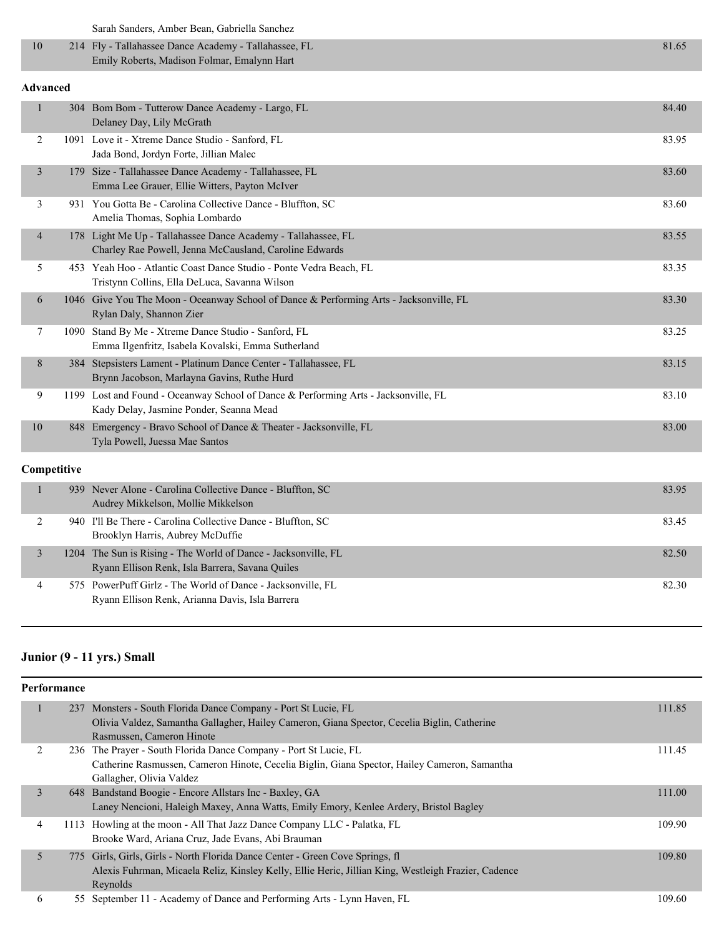Sarah Sanders, Amber Bean, Gabriella Sanchez

| 214 Fly - Tallahassee Dance Academy - Tallahassee, FL | 81.65 |
|-------------------------------------------------------|-------|
| Emily Roberts, Madison Folmar, Emalynn Hart           |       |

#### **Advanced**

|                |     | 304 Bom Bom - Tutterow Dance Academy - Largo, FL<br>Delaney Day, Lily McGrath                                                  | 84.40 |
|----------------|-----|--------------------------------------------------------------------------------------------------------------------------------|-------|
| 2              |     | 1091 Love it - Xtreme Dance Studio - Sanford, FL<br>Jada Bond, Jordyn Forte, Jillian Malec                                     | 83.95 |
| $\overline{3}$ | 179 | Size - Tallahassee Dance Academy - Tallahassee, FL<br>Emma Lee Grauer, Ellie Witters, Payton McIver                            | 83.60 |
| 3              |     | 931 You Gotta Be - Carolina Collective Dance - Bluffton, SC<br>Amelia Thomas, Sophia Lombardo                                  | 83.60 |
| $\overline{4}$ |     | 178 Light Me Up - Tallahassee Dance Academy - Tallahassee, FL<br>Charley Rae Powell, Jenna McCausland, Caroline Edwards        | 83.55 |
| 5              | 453 | Yeah Hoo - Atlantic Coast Dance Studio - Ponte Vedra Beach, FL<br>Tristynn Collins, Ella DeLuca, Savanna Wilson                | 83.35 |
| 6              |     | 1046 Give You The Moon - Oceanway School of Dance & Performing Arts - Jacksonville, FL<br>Rylan Daly, Shannon Zier             | 83.30 |
| 7              |     | 1090 Stand By Me - Xtreme Dance Studio - Sanford, FL<br>Emma Ilgenfritz, Isabela Kovalski, Emma Sutherland                     | 83.25 |
| 8              |     | 384 Stepsisters Lament - Platinum Dance Center - Tallahassee, FL<br>Brynn Jacobson, Marlayna Gavins, Ruthe Hurd                | 83.15 |
| 9              |     | 1199 Lost and Found - Oceanway School of Dance & Performing Arts - Jacksonville, FL<br>Kady Delay, Jasmine Ponder, Seanna Mead | 83.10 |
| 10             |     | 848 Emergency - Bravo School of Dance & Theater - Jacksonville, FL<br>Tyla Powell, Juessa Mae Santos                           | 83.00 |

#### **Competitive**

|  | 939 Never Alone - Carolina Collective Dance - Bluffton, SC<br>Audrey Mikkelson, Mollie Mikkelson                  | 83.95 |
|--|-------------------------------------------------------------------------------------------------------------------|-------|
|  | 940 I'll Be There - Carolina Collective Dance - Bluffton, SC<br>Brooklyn Harris, Aubrey McDuffie                  | 83.45 |
|  | 1204 The Sun is Rising - The World of Dance - Jacksonville, FL<br>Ryann Ellison Renk, Isla Barrera, Savana Quiles | 82.50 |
|  | 575 PowerPuff Girlz - The World of Dance - Jacksonville, FL<br>Ryann Ellison Renk, Arianna Davis, Isla Barrera    | 82.30 |

# **Junior (9 - 11 yrs.) Small**

|                | Performance |                                                                                                                                                                                                  |        |  |  |
|----------------|-------------|--------------------------------------------------------------------------------------------------------------------------------------------------------------------------------------------------|--------|--|--|
|                |             | 237 Monsters - South Florida Dance Company - Port St Lucie, FL<br>Olivia Valdez, Samantha Gallagher, Hailey Cameron, Giana Spector, Cecelia Biglin, Catherine<br>Rasmussen, Cameron Hinote       | 111.85 |  |  |
| 2              |             | 236 The Prayer - South Florida Dance Company - Port St Lucie, FL<br>Catherine Rasmussen, Cameron Hinote, Cecelia Biglin, Giana Spector, Hailey Cameron, Samantha<br>Gallagher, Olivia Valdez     | 111.45 |  |  |
| 3              |             | 648 Bandstand Boogie - Encore Allstars Inc - Baxley, GA<br>Laney Nencioni, Haleigh Maxey, Anna Watts, Emily Emory, Kenlee Ardery, Bristol Bagley                                                 | 111.00 |  |  |
| $\overline{4}$ |             | 1113 Howling at the moon - All That Jazz Dance Company LLC - Palatka, FL<br>Brooke Ward, Ariana Cruz, Jade Evans, Abi Brauman                                                                    | 109.90 |  |  |
| 5              |             | 775 Girls, Girls, Girls - North Florida Dance Center - Green Cove Springs, fl<br>Alexis Fuhrman, Micaela Reliz, Kinsley Kelly, Ellie Heric, Jillian King, Westleigh Frazier, Cadence<br>Reynolds | 109.80 |  |  |
| 6              |             | 55 September 11 - Academy of Dance and Performing Arts - Lynn Haven, FL                                                                                                                          | 109.60 |  |  |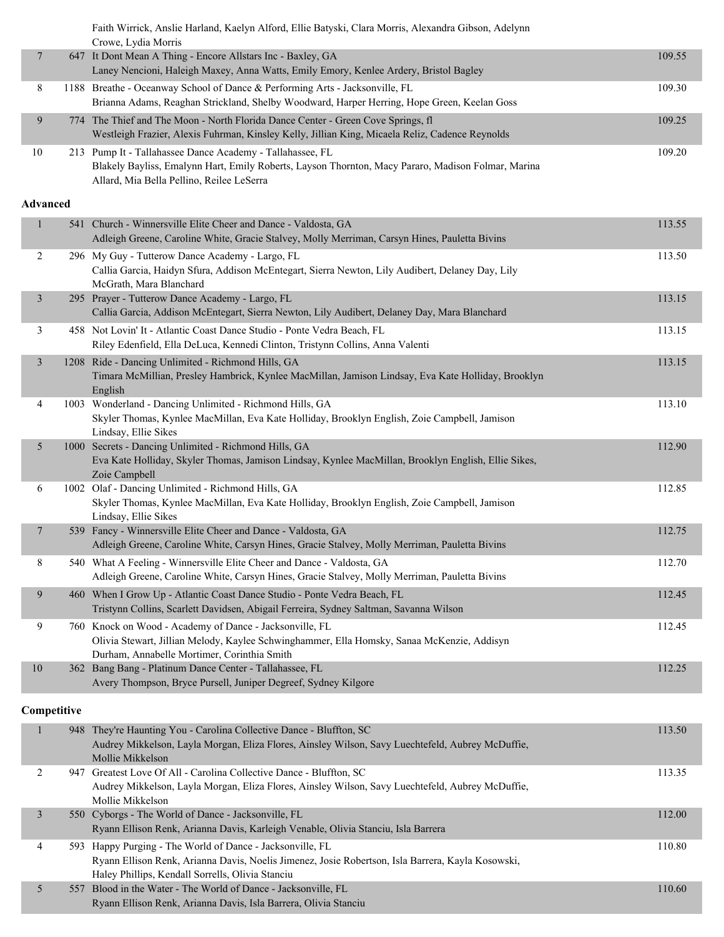|                 | Faith Wirrick, Anslie Harland, Kaelyn Alford, Ellie Batyski, Clara Morris, Alexandra Gibson, Adelynn                                                                                                         |        |
|-----------------|--------------------------------------------------------------------------------------------------------------------------------------------------------------------------------------------------------------|--------|
|                 | Crowe, Lydia Morris                                                                                                                                                                                          |        |
| $\overline{7}$  | 647 It Dont Mean A Thing - Encore Allstars Inc - Baxley, GA<br>Laney Nencioni, Haleigh Maxey, Anna Watts, Emily Emory, Kenlee Ardery, Bristol Bagley                                                         | 109.55 |
| 8               | 1188 Breathe - Oceanway School of Dance & Performing Arts - Jacksonville, FL<br>Brianna Adams, Reaghan Strickland, Shelby Woodward, Harper Herring, Hope Green, Keelan Goss                                  | 109.30 |
| 9               | 774 The Thief and The Moon - North Florida Dance Center - Green Cove Springs, fl<br>Westleigh Frazier, Alexis Fuhrman, Kinsley Kelly, Jillian King, Micaela Reliz, Cadence Reynolds                          | 109.25 |
| 10              | 213 Pump It - Tallahassee Dance Academy - Tallahassee, FL<br>Blakely Bayliss, Emalynn Hart, Emily Roberts, Layson Thornton, Macy Pararo, Madison Folmar, Marina<br>Allard, Mia Bella Pellino, Reilee LeSerra | 109.20 |
| <b>Advanced</b> |                                                                                                                                                                                                              |        |
| $\mathbf{1}$    | 541 Church - Winnersville Elite Cheer and Dance - Valdosta, GA<br>Adleigh Greene, Caroline White, Gracie Stalvey, Molly Merriman, Carsyn Hines, Pauletta Bivins                                              | 113.55 |
| 2               | 296 My Guy - Tutterow Dance Academy - Largo, FL<br>Callia Garcia, Haidyn Sfura, Addison McEntegart, Sierra Newton, Lily Audibert, Delaney Day, Lily<br>McGrath, Mara Blanchard                               | 113.50 |
| $\mathfrak{Z}$  | 295 Prayer - Tutterow Dance Academy - Largo, FL<br>Callia Garcia, Addison McEntegart, Sierra Newton, Lily Audibert, Delaney Day, Mara Blanchard                                                              | 113.15 |
| 3               | 458 Not Lovin' It - Atlantic Coast Dance Studio - Ponte Vedra Beach, FL<br>Riley Edenfield, Ella DeLuca, Kennedi Clinton, Tristynn Collins, Anna Valenti                                                     | 113.15 |
| $\mathfrak{Z}$  | 1208 Ride - Dancing Unlimited - Richmond Hills, GA<br>Timara McMillian, Presley Hambrick, Kynlee MacMillan, Jamison Lindsay, Eva Kate Holliday, Brooklyn<br>English                                          | 113.15 |
| 4               | 1003 Wonderland - Dancing Unlimited - Richmond Hills, GA<br>Skyler Thomas, Kynlee MacMillan, Eva Kate Holliday, Brooklyn English, Zoie Campbell, Jamison<br>Lindsay, Ellie Sikes                             | 113.10 |
| 5               | 1000 Secrets - Dancing Unlimited - Richmond Hills, GA<br>Eva Kate Holliday, Skyler Thomas, Jamison Lindsay, Kynlee MacMillan, Brooklyn English, Ellie Sikes,<br>Zoie Campbell                                | 112.90 |
| 6               | 1002 Olaf - Dancing Unlimited - Richmond Hills, GA<br>Skyler Thomas, Kynlee MacMillan, Eva Kate Holliday, Brooklyn English, Zoie Campbell, Jamison<br>Lindsay, Ellie Sikes                                   | 112.85 |
| 7               | 539 Fancy - Winnersville Elite Cheer and Dance - Valdosta, GA<br>Adleigh Greene, Caroline White, Carsyn Hines, Gracie Stalvey, Molly Merriman, Pauletta Bivins                                               | 112.75 |
| 8               | 540 What A Feeling - Winnersville Elite Cheer and Dance - Valdosta, GA<br>Adleigh Greene, Caroline White, Carsyn Hines, Gracie Stalvey, Molly Merriman, Pauletta Bivins                                      | 112.70 |
| 9               | 460 When I Grow Up - Atlantic Coast Dance Studio - Ponte Vedra Beach, FL<br>Tristynn Collins, Scarlett Davidsen, Abigail Ferreira, Sydney Saltman, Savanna Wilson                                            | 112.45 |
| 9               | 760 Knock on Wood - Academy of Dance - Jacksonville, FL<br>Olivia Stewart, Jillian Melody, Kaylee Schwinghammer, Ella Homsky, Sanaa McKenzie, Addisyn<br>Durham, Annabelle Mortimer, Corinthia Smith         | 112.45 |
| $10\,$          | 362 Bang Bang - Platinum Dance Center - Tallahassee, FL<br>Avery Thompson, Bryce Pursell, Juniper Degreef, Sydney Kilgore                                                                                    | 112.25 |
| Competitive     |                                                                                                                                                                                                              |        |
| $\mathbf{1}$    | 948 They're Haunting You - Carolina Collective Dance - Bluffton, SC                                                                                                                                          |        |
|                 | Audrey Mikkelson, Layla Morgan, Eliza Flores, Ainsley Wilson, Savy Luechtefeld, Aubrey McDuffie,<br>Mollie Mikkelson                                                                                         | 113.50 |
| 2               | 947 Greatest Love Of All - Carolina Collective Dance - Bluffton, SC<br>Audrey Mikkelson, Layla Morgan, Eliza Flores, Ainsley Wilson, Savy Luechtefeld, Aubrey McDuffie,<br>Mollie Mikkelson                  | 113.35 |
| $\mathfrak{Z}$  | 550 Cyborgs - The World of Dance - Jacksonville, FL<br>Ryann Ellison Renk, Arianna Davis, Karleigh Venable, Olivia Stanciu, Isla Barrera                                                                     | 112.00 |

4 593 Happy Purging - The World of Dance - Jacksonville, FL 110.80

5 557 Blood in the Water - The World of Dance - Jacksonville, FL 110.60

Ryann Ellison Renk, Arianna Davis, Noelis Jimenez, Josie Robertson, Isla Barrera, Kayla Kosowski,

Haley Phillips, Kendall Sorrells, Olivia Stanciu

Ryann Ellison Renk, Arianna Davis, Isla Barrera, Olivia Stanciu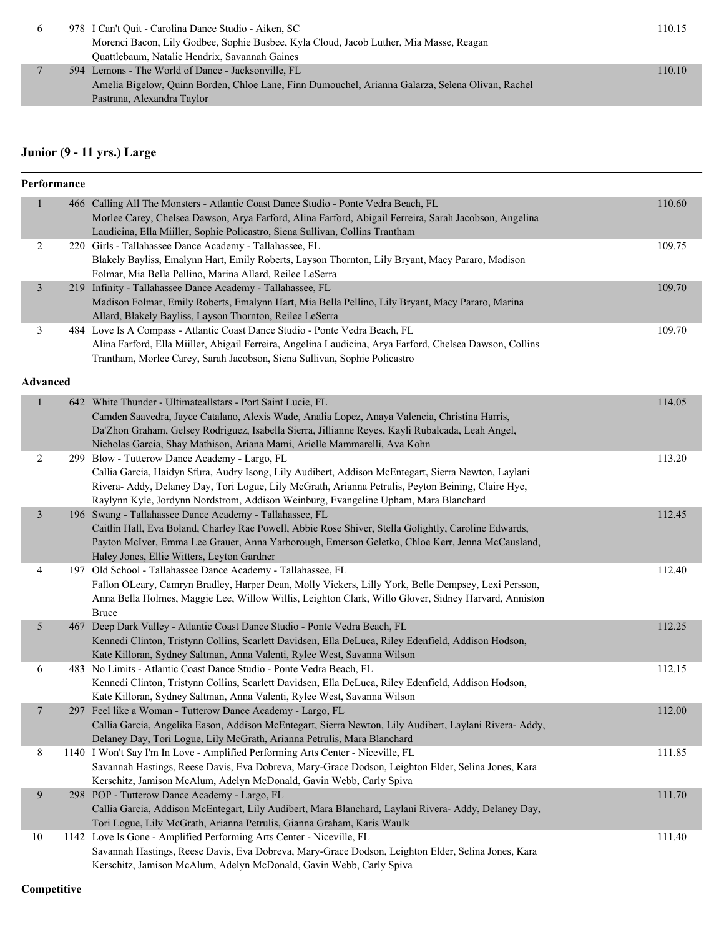| $\sigma$ | 978 I Can't Ouit - Carolina Dance Studio - Aiken, SC                                             | 110.15 |
|----------|--------------------------------------------------------------------------------------------------|--------|
|          | Morenci Bacon, Lily Godbee, Sophie Busbee, Kyla Cloud, Jacob Luther, Mia Masse, Reagan           |        |
|          | Quattlebaum, Natalie Hendrix, Savannah Gaines                                                    |        |
|          | 594 Lemons - The World of Dance - Jacksonville, FL                                               | 110.10 |
|          | Amelia Bigelow, Quinn Borden, Chloe Lane, Finn Dumouchel, Arianna Galarza, Selena Olivan, Rachel |        |
|          | Pastrana, Alexandra Taylor                                                                       |        |

## **Junior (9 - 11 yrs.) Large**

| Performance     |                                                                                                       |                                                                                                                                                                                                                                                                                                                                                                                                                                                                                                                                                                                                                                                                                                                                                                                                                                                                                                                                                                                                                                                                                                                                                                                                                                                                                                                                                                                                                                                                                                                                                                                                                                                                                                                                                                                                                                                                                                                                                                                                                                                                                                                                                                                                                                                                                                                                                                                                                                                                                                                                                                                                                                                                                                                                                                                                                                                                                                                                                                                                                                                                                                                                                                                                   |
|-----------------|-------------------------------------------------------------------------------------------------------|---------------------------------------------------------------------------------------------------------------------------------------------------------------------------------------------------------------------------------------------------------------------------------------------------------------------------------------------------------------------------------------------------------------------------------------------------------------------------------------------------------------------------------------------------------------------------------------------------------------------------------------------------------------------------------------------------------------------------------------------------------------------------------------------------------------------------------------------------------------------------------------------------------------------------------------------------------------------------------------------------------------------------------------------------------------------------------------------------------------------------------------------------------------------------------------------------------------------------------------------------------------------------------------------------------------------------------------------------------------------------------------------------------------------------------------------------------------------------------------------------------------------------------------------------------------------------------------------------------------------------------------------------------------------------------------------------------------------------------------------------------------------------------------------------------------------------------------------------------------------------------------------------------------------------------------------------------------------------------------------------------------------------------------------------------------------------------------------------------------------------------------------------------------------------------------------------------------------------------------------------------------------------------------------------------------------------------------------------------------------------------------------------------------------------------------------------------------------------------------------------------------------------------------------------------------------------------------------------------------------------------------------------------------------------------------------------------------------------------------------------------------------------------------------------------------------------------------------------------------------------------------------------------------------------------------------------------------------------------------------------------------------------------------------------------------------------------------------------------------------------------------------------------------------------------------------------|
|                 |                                                                                                       | 110.60                                                                                                                                                                                                                                                                                                                                                                                                                                                                                                                                                                                                                                                                                                                                                                                                                                                                                                                                                                                                                                                                                                                                                                                                                                                                                                                                                                                                                                                                                                                                                                                                                                                                                                                                                                                                                                                                                                                                                                                                                                                                                                                                                                                                                                                                                                                                                                                                                                                                                                                                                                                                                                                                                                                                                                                                                                                                                                                                                                                                                                                                                                                                                                                            |
|                 | Morlee Carey, Chelsea Dawson, Arya Farford, Alina Farford, Abigail Ferreira, Sarah Jacobson, Angelina |                                                                                                                                                                                                                                                                                                                                                                                                                                                                                                                                                                                                                                                                                                                                                                                                                                                                                                                                                                                                                                                                                                                                                                                                                                                                                                                                                                                                                                                                                                                                                                                                                                                                                                                                                                                                                                                                                                                                                                                                                                                                                                                                                                                                                                                                                                                                                                                                                                                                                                                                                                                                                                                                                                                                                                                                                                                                                                                                                                                                                                                                                                                                                                                                   |
|                 | Laudicina, Ella Miiller, Sophie Policastro, Siena Sullivan, Collins Trantham                          |                                                                                                                                                                                                                                                                                                                                                                                                                                                                                                                                                                                                                                                                                                                                                                                                                                                                                                                                                                                                                                                                                                                                                                                                                                                                                                                                                                                                                                                                                                                                                                                                                                                                                                                                                                                                                                                                                                                                                                                                                                                                                                                                                                                                                                                                                                                                                                                                                                                                                                                                                                                                                                                                                                                                                                                                                                                                                                                                                                                                                                                                                                                                                                                                   |
|                 |                                                                                                       | 109.75                                                                                                                                                                                                                                                                                                                                                                                                                                                                                                                                                                                                                                                                                                                                                                                                                                                                                                                                                                                                                                                                                                                                                                                                                                                                                                                                                                                                                                                                                                                                                                                                                                                                                                                                                                                                                                                                                                                                                                                                                                                                                                                                                                                                                                                                                                                                                                                                                                                                                                                                                                                                                                                                                                                                                                                                                                                                                                                                                                                                                                                                                                                                                                                            |
|                 |                                                                                                       |                                                                                                                                                                                                                                                                                                                                                                                                                                                                                                                                                                                                                                                                                                                                                                                                                                                                                                                                                                                                                                                                                                                                                                                                                                                                                                                                                                                                                                                                                                                                                                                                                                                                                                                                                                                                                                                                                                                                                                                                                                                                                                                                                                                                                                                                                                                                                                                                                                                                                                                                                                                                                                                                                                                                                                                                                                                                                                                                                                                                                                                                                                                                                                                                   |
|                 |                                                                                                       |                                                                                                                                                                                                                                                                                                                                                                                                                                                                                                                                                                                                                                                                                                                                                                                                                                                                                                                                                                                                                                                                                                                                                                                                                                                                                                                                                                                                                                                                                                                                                                                                                                                                                                                                                                                                                                                                                                                                                                                                                                                                                                                                                                                                                                                                                                                                                                                                                                                                                                                                                                                                                                                                                                                                                                                                                                                                                                                                                                                                                                                                                                                                                                                                   |
|                 |                                                                                                       | 109.70                                                                                                                                                                                                                                                                                                                                                                                                                                                                                                                                                                                                                                                                                                                                                                                                                                                                                                                                                                                                                                                                                                                                                                                                                                                                                                                                                                                                                                                                                                                                                                                                                                                                                                                                                                                                                                                                                                                                                                                                                                                                                                                                                                                                                                                                                                                                                                                                                                                                                                                                                                                                                                                                                                                                                                                                                                                                                                                                                                                                                                                                                                                                                                                            |
|                 |                                                                                                       |                                                                                                                                                                                                                                                                                                                                                                                                                                                                                                                                                                                                                                                                                                                                                                                                                                                                                                                                                                                                                                                                                                                                                                                                                                                                                                                                                                                                                                                                                                                                                                                                                                                                                                                                                                                                                                                                                                                                                                                                                                                                                                                                                                                                                                                                                                                                                                                                                                                                                                                                                                                                                                                                                                                                                                                                                                                                                                                                                                                                                                                                                                                                                                                                   |
|                 |                                                                                                       |                                                                                                                                                                                                                                                                                                                                                                                                                                                                                                                                                                                                                                                                                                                                                                                                                                                                                                                                                                                                                                                                                                                                                                                                                                                                                                                                                                                                                                                                                                                                                                                                                                                                                                                                                                                                                                                                                                                                                                                                                                                                                                                                                                                                                                                                                                                                                                                                                                                                                                                                                                                                                                                                                                                                                                                                                                                                                                                                                                                                                                                                                                                                                                                                   |
|                 |                                                                                                       | 109.70                                                                                                                                                                                                                                                                                                                                                                                                                                                                                                                                                                                                                                                                                                                                                                                                                                                                                                                                                                                                                                                                                                                                                                                                                                                                                                                                                                                                                                                                                                                                                                                                                                                                                                                                                                                                                                                                                                                                                                                                                                                                                                                                                                                                                                                                                                                                                                                                                                                                                                                                                                                                                                                                                                                                                                                                                                                                                                                                                                                                                                                                                                                                                                                            |
|                 |                                                                                                       |                                                                                                                                                                                                                                                                                                                                                                                                                                                                                                                                                                                                                                                                                                                                                                                                                                                                                                                                                                                                                                                                                                                                                                                                                                                                                                                                                                                                                                                                                                                                                                                                                                                                                                                                                                                                                                                                                                                                                                                                                                                                                                                                                                                                                                                                                                                                                                                                                                                                                                                                                                                                                                                                                                                                                                                                                                                                                                                                                                                                                                                                                                                                                                                                   |
|                 |                                                                                                       |                                                                                                                                                                                                                                                                                                                                                                                                                                                                                                                                                                                                                                                                                                                                                                                                                                                                                                                                                                                                                                                                                                                                                                                                                                                                                                                                                                                                                                                                                                                                                                                                                                                                                                                                                                                                                                                                                                                                                                                                                                                                                                                                                                                                                                                                                                                                                                                                                                                                                                                                                                                                                                                                                                                                                                                                                                                                                                                                                                                                                                                                                                                                                                                                   |
| <b>Advanced</b> |                                                                                                       |                                                                                                                                                                                                                                                                                                                                                                                                                                                                                                                                                                                                                                                                                                                                                                                                                                                                                                                                                                                                                                                                                                                                                                                                                                                                                                                                                                                                                                                                                                                                                                                                                                                                                                                                                                                                                                                                                                                                                                                                                                                                                                                                                                                                                                                                                                                                                                                                                                                                                                                                                                                                                                                                                                                                                                                                                                                                                                                                                                                                                                                                                                                                                                                                   |
|                 |                                                                                                       | 114.05                                                                                                                                                                                                                                                                                                                                                                                                                                                                                                                                                                                                                                                                                                                                                                                                                                                                                                                                                                                                                                                                                                                                                                                                                                                                                                                                                                                                                                                                                                                                                                                                                                                                                                                                                                                                                                                                                                                                                                                                                                                                                                                                                                                                                                                                                                                                                                                                                                                                                                                                                                                                                                                                                                                                                                                                                                                                                                                                                                                                                                                                                                                                                                                            |
|                 | Camden Saavedra, Jayce Catalano, Alexis Wade, Analia Lopez, Anaya Valencia, Christina Harris,         |                                                                                                                                                                                                                                                                                                                                                                                                                                                                                                                                                                                                                                                                                                                                                                                                                                                                                                                                                                                                                                                                                                                                                                                                                                                                                                                                                                                                                                                                                                                                                                                                                                                                                                                                                                                                                                                                                                                                                                                                                                                                                                                                                                                                                                                                                                                                                                                                                                                                                                                                                                                                                                                                                                                                                                                                                                                                                                                                                                                                                                                                                                                                                                                                   |
|                 | Da'Zhon Graham, Gelsey Rodriguez, Isabella Sierra, Jillianne Reyes, Kayli Rubalcada, Leah Angel,      |                                                                                                                                                                                                                                                                                                                                                                                                                                                                                                                                                                                                                                                                                                                                                                                                                                                                                                                                                                                                                                                                                                                                                                                                                                                                                                                                                                                                                                                                                                                                                                                                                                                                                                                                                                                                                                                                                                                                                                                                                                                                                                                                                                                                                                                                                                                                                                                                                                                                                                                                                                                                                                                                                                                                                                                                                                                                                                                                                                                                                                                                                                                                                                                                   |
|                 |                                                                                                       |                                                                                                                                                                                                                                                                                                                                                                                                                                                                                                                                                                                                                                                                                                                                                                                                                                                                                                                                                                                                                                                                                                                                                                                                                                                                                                                                                                                                                                                                                                                                                                                                                                                                                                                                                                                                                                                                                                                                                                                                                                                                                                                                                                                                                                                                                                                                                                                                                                                                                                                                                                                                                                                                                                                                                                                                                                                                                                                                                                                                                                                                                                                                                                                                   |
|                 |                                                                                                       | 113.20                                                                                                                                                                                                                                                                                                                                                                                                                                                                                                                                                                                                                                                                                                                                                                                                                                                                                                                                                                                                                                                                                                                                                                                                                                                                                                                                                                                                                                                                                                                                                                                                                                                                                                                                                                                                                                                                                                                                                                                                                                                                                                                                                                                                                                                                                                                                                                                                                                                                                                                                                                                                                                                                                                                                                                                                                                                                                                                                                                                                                                                                                                                                                                                            |
|                 |                                                                                                       |                                                                                                                                                                                                                                                                                                                                                                                                                                                                                                                                                                                                                                                                                                                                                                                                                                                                                                                                                                                                                                                                                                                                                                                                                                                                                                                                                                                                                                                                                                                                                                                                                                                                                                                                                                                                                                                                                                                                                                                                                                                                                                                                                                                                                                                                                                                                                                                                                                                                                                                                                                                                                                                                                                                                                                                                                                                                                                                                                                                                                                                                                                                                                                                                   |
|                 |                                                                                                       |                                                                                                                                                                                                                                                                                                                                                                                                                                                                                                                                                                                                                                                                                                                                                                                                                                                                                                                                                                                                                                                                                                                                                                                                                                                                                                                                                                                                                                                                                                                                                                                                                                                                                                                                                                                                                                                                                                                                                                                                                                                                                                                                                                                                                                                                                                                                                                                                                                                                                                                                                                                                                                                                                                                                                                                                                                                                                                                                                                                                                                                                                                                                                                                                   |
|                 |                                                                                                       |                                                                                                                                                                                                                                                                                                                                                                                                                                                                                                                                                                                                                                                                                                                                                                                                                                                                                                                                                                                                                                                                                                                                                                                                                                                                                                                                                                                                                                                                                                                                                                                                                                                                                                                                                                                                                                                                                                                                                                                                                                                                                                                                                                                                                                                                                                                                                                                                                                                                                                                                                                                                                                                                                                                                                                                                                                                                                                                                                                                                                                                                                                                                                                                                   |
|                 |                                                                                                       | 112.45                                                                                                                                                                                                                                                                                                                                                                                                                                                                                                                                                                                                                                                                                                                                                                                                                                                                                                                                                                                                                                                                                                                                                                                                                                                                                                                                                                                                                                                                                                                                                                                                                                                                                                                                                                                                                                                                                                                                                                                                                                                                                                                                                                                                                                                                                                                                                                                                                                                                                                                                                                                                                                                                                                                                                                                                                                                                                                                                                                                                                                                                                                                                                                                            |
|                 |                                                                                                       |                                                                                                                                                                                                                                                                                                                                                                                                                                                                                                                                                                                                                                                                                                                                                                                                                                                                                                                                                                                                                                                                                                                                                                                                                                                                                                                                                                                                                                                                                                                                                                                                                                                                                                                                                                                                                                                                                                                                                                                                                                                                                                                                                                                                                                                                                                                                                                                                                                                                                                                                                                                                                                                                                                                                                                                                                                                                                                                                                                                                                                                                                                                                                                                                   |
|                 |                                                                                                       |                                                                                                                                                                                                                                                                                                                                                                                                                                                                                                                                                                                                                                                                                                                                                                                                                                                                                                                                                                                                                                                                                                                                                                                                                                                                                                                                                                                                                                                                                                                                                                                                                                                                                                                                                                                                                                                                                                                                                                                                                                                                                                                                                                                                                                                                                                                                                                                                                                                                                                                                                                                                                                                                                                                                                                                                                                                                                                                                                                                                                                                                                                                                                                                                   |
|                 |                                                                                                       | 112.40                                                                                                                                                                                                                                                                                                                                                                                                                                                                                                                                                                                                                                                                                                                                                                                                                                                                                                                                                                                                                                                                                                                                                                                                                                                                                                                                                                                                                                                                                                                                                                                                                                                                                                                                                                                                                                                                                                                                                                                                                                                                                                                                                                                                                                                                                                                                                                                                                                                                                                                                                                                                                                                                                                                                                                                                                                                                                                                                                                                                                                                                                                                                                                                            |
|                 |                                                                                                       |                                                                                                                                                                                                                                                                                                                                                                                                                                                                                                                                                                                                                                                                                                                                                                                                                                                                                                                                                                                                                                                                                                                                                                                                                                                                                                                                                                                                                                                                                                                                                                                                                                                                                                                                                                                                                                                                                                                                                                                                                                                                                                                                                                                                                                                                                                                                                                                                                                                                                                                                                                                                                                                                                                                                                                                                                                                                                                                                                                                                                                                                                                                                                                                                   |
|                 |                                                                                                       |                                                                                                                                                                                                                                                                                                                                                                                                                                                                                                                                                                                                                                                                                                                                                                                                                                                                                                                                                                                                                                                                                                                                                                                                                                                                                                                                                                                                                                                                                                                                                                                                                                                                                                                                                                                                                                                                                                                                                                                                                                                                                                                                                                                                                                                                                                                                                                                                                                                                                                                                                                                                                                                                                                                                                                                                                                                                                                                                                                                                                                                                                                                                                                                                   |
|                 | <b>Bruce</b>                                                                                          |                                                                                                                                                                                                                                                                                                                                                                                                                                                                                                                                                                                                                                                                                                                                                                                                                                                                                                                                                                                                                                                                                                                                                                                                                                                                                                                                                                                                                                                                                                                                                                                                                                                                                                                                                                                                                                                                                                                                                                                                                                                                                                                                                                                                                                                                                                                                                                                                                                                                                                                                                                                                                                                                                                                                                                                                                                                                                                                                                                                                                                                                                                                                                                                                   |
|                 |                                                                                                       | 112.25                                                                                                                                                                                                                                                                                                                                                                                                                                                                                                                                                                                                                                                                                                                                                                                                                                                                                                                                                                                                                                                                                                                                                                                                                                                                                                                                                                                                                                                                                                                                                                                                                                                                                                                                                                                                                                                                                                                                                                                                                                                                                                                                                                                                                                                                                                                                                                                                                                                                                                                                                                                                                                                                                                                                                                                                                                                                                                                                                                                                                                                                                                                                                                                            |
|                 | Kennedi Clinton, Tristynn Collins, Scarlett Davidsen, Ella DeLuca, Riley Edenfield, Addison Hodson,   |                                                                                                                                                                                                                                                                                                                                                                                                                                                                                                                                                                                                                                                                                                                                                                                                                                                                                                                                                                                                                                                                                                                                                                                                                                                                                                                                                                                                                                                                                                                                                                                                                                                                                                                                                                                                                                                                                                                                                                                                                                                                                                                                                                                                                                                                                                                                                                                                                                                                                                                                                                                                                                                                                                                                                                                                                                                                                                                                                                                                                                                                                                                                                                                                   |
|                 | Kate Killoran, Sydney Saltman, Anna Valenti, Rylee West, Savanna Wilson                               |                                                                                                                                                                                                                                                                                                                                                                                                                                                                                                                                                                                                                                                                                                                                                                                                                                                                                                                                                                                                                                                                                                                                                                                                                                                                                                                                                                                                                                                                                                                                                                                                                                                                                                                                                                                                                                                                                                                                                                                                                                                                                                                                                                                                                                                                                                                                                                                                                                                                                                                                                                                                                                                                                                                                                                                                                                                                                                                                                                                                                                                                                                                                                                                                   |
|                 |                                                                                                       | 112.15                                                                                                                                                                                                                                                                                                                                                                                                                                                                                                                                                                                                                                                                                                                                                                                                                                                                                                                                                                                                                                                                                                                                                                                                                                                                                                                                                                                                                                                                                                                                                                                                                                                                                                                                                                                                                                                                                                                                                                                                                                                                                                                                                                                                                                                                                                                                                                                                                                                                                                                                                                                                                                                                                                                                                                                                                                                                                                                                                                                                                                                                                                                                                                                            |
|                 |                                                                                                       |                                                                                                                                                                                                                                                                                                                                                                                                                                                                                                                                                                                                                                                                                                                                                                                                                                                                                                                                                                                                                                                                                                                                                                                                                                                                                                                                                                                                                                                                                                                                                                                                                                                                                                                                                                                                                                                                                                                                                                                                                                                                                                                                                                                                                                                                                                                                                                                                                                                                                                                                                                                                                                                                                                                                                                                                                                                                                                                                                                                                                                                                                                                                                                                                   |
|                 |                                                                                                       |                                                                                                                                                                                                                                                                                                                                                                                                                                                                                                                                                                                                                                                                                                                                                                                                                                                                                                                                                                                                                                                                                                                                                                                                                                                                                                                                                                                                                                                                                                                                                                                                                                                                                                                                                                                                                                                                                                                                                                                                                                                                                                                                                                                                                                                                                                                                                                                                                                                                                                                                                                                                                                                                                                                                                                                                                                                                                                                                                                                                                                                                                                                                                                                                   |
|                 |                                                                                                       | 112.00                                                                                                                                                                                                                                                                                                                                                                                                                                                                                                                                                                                                                                                                                                                                                                                                                                                                                                                                                                                                                                                                                                                                                                                                                                                                                                                                                                                                                                                                                                                                                                                                                                                                                                                                                                                                                                                                                                                                                                                                                                                                                                                                                                                                                                                                                                                                                                                                                                                                                                                                                                                                                                                                                                                                                                                                                                                                                                                                                                                                                                                                                                                                                                                            |
|                 |                                                                                                       |                                                                                                                                                                                                                                                                                                                                                                                                                                                                                                                                                                                                                                                                                                                                                                                                                                                                                                                                                                                                                                                                                                                                                                                                                                                                                                                                                                                                                                                                                                                                                                                                                                                                                                                                                                                                                                                                                                                                                                                                                                                                                                                                                                                                                                                                                                                                                                                                                                                                                                                                                                                                                                                                                                                                                                                                                                                                                                                                                                                                                                                                                                                                                                                                   |
|                 |                                                                                                       |                                                                                                                                                                                                                                                                                                                                                                                                                                                                                                                                                                                                                                                                                                                                                                                                                                                                                                                                                                                                                                                                                                                                                                                                                                                                                                                                                                                                                                                                                                                                                                                                                                                                                                                                                                                                                                                                                                                                                                                                                                                                                                                                                                                                                                                                                                                                                                                                                                                                                                                                                                                                                                                                                                                                                                                                                                                                                                                                                                                                                                                                                                                                                                                                   |
|                 |                                                                                                       | 111.85                                                                                                                                                                                                                                                                                                                                                                                                                                                                                                                                                                                                                                                                                                                                                                                                                                                                                                                                                                                                                                                                                                                                                                                                                                                                                                                                                                                                                                                                                                                                                                                                                                                                                                                                                                                                                                                                                                                                                                                                                                                                                                                                                                                                                                                                                                                                                                                                                                                                                                                                                                                                                                                                                                                                                                                                                                                                                                                                                                                                                                                                                                                                                                                            |
|                 |                                                                                                       |                                                                                                                                                                                                                                                                                                                                                                                                                                                                                                                                                                                                                                                                                                                                                                                                                                                                                                                                                                                                                                                                                                                                                                                                                                                                                                                                                                                                                                                                                                                                                                                                                                                                                                                                                                                                                                                                                                                                                                                                                                                                                                                                                                                                                                                                                                                                                                                                                                                                                                                                                                                                                                                                                                                                                                                                                                                                                                                                                                                                                                                                                                                                                                                                   |
|                 |                                                                                                       | 111.70                                                                                                                                                                                                                                                                                                                                                                                                                                                                                                                                                                                                                                                                                                                                                                                                                                                                                                                                                                                                                                                                                                                                                                                                                                                                                                                                                                                                                                                                                                                                                                                                                                                                                                                                                                                                                                                                                                                                                                                                                                                                                                                                                                                                                                                                                                                                                                                                                                                                                                                                                                                                                                                                                                                                                                                                                                                                                                                                                                                                                                                                                                                                                                                            |
|                 |                                                                                                       |                                                                                                                                                                                                                                                                                                                                                                                                                                                                                                                                                                                                                                                                                                                                                                                                                                                                                                                                                                                                                                                                                                                                                                                                                                                                                                                                                                                                                                                                                                                                                                                                                                                                                                                                                                                                                                                                                                                                                                                                                                                                                                                                                                                                                                                                                                                                                                                                                                                                                                                                                                                                                                                                                                                                                                                                                                                                                                                                                                                                                                                                                                                                                                                                   |
|                 |                                                                                                       |                                                                                                                                                                                                                                                                                                                                                                                                                                                                                                                                                                                                                                                                                                                                                                                                                                                                                                                                                                                                                                                                                                                                                                                                                                                                                                                                                                                                                                                                                                                                                                                                                                                                                                                                                                                                                                                                                                                                                                                                                                                                                                                                                                                                                                                                                                                                                                                                                                                                                                                                                                                                                                                                                                                                                                                                                                                                                                                                                                                                                                                                                                                                                                                                   |
|                 |                                                                                                       | 111.40                                                                                                                                                                                                                                                                                                                                                                                                                                                                                                                                                                                                                                                                                                                                                                                                                                                                                                                                                                                                                                                                                                                                                                                                                                                                                                                                                                                                                                                                                                                                                                                                                                                                                                                                                                                                                                                                                                                                                                                                                                                                                                                                                                                                                                                                                                                                                                                                                                                                                                                                                                                                                                                                                                                                                                                                                                                                                                                                                                                                                                                                                                                                                                                            |
|                 |                                                                                                       |                                                                                                                                                                                                                                                                                                                                                                                                                                                                                                                                                                                                                                                                                                                                                                                                                                                                                                                                                                                                                                                                                                                                                                                                                                                                                                                                                                                                                                                                                                                                                                                                                                                                                                                                                                                                                                                                                                                                                                                                                                                                                                                                                                                                                                                                                                                                                                                                                                                                                                                                                                                                                                                                                                                                                                                                                                                                                                                                                                                                                                                                                                                                                                                                   |
|                 | Kerschitz, Jamison McAlum, Adelyn McDonald, Gavin Webb, Carly Spiva                                   |                                                                                                                                                                                                                                                                                                                                                                                                                                                                                                                                                                                                                                                                                                                                                                                                                                                                                                                                                                                                                                                                                                                                                                                                                                                                                                                                                                                                                                                                                                                                                                                                                                                                                                                                                                                                                                                                                                                                                                                                                                                                                                                                                                                                                                                                                                                                                                                                                                                                                                                                                                                                                                                                                                                                                                                                                                                                                                                                                                                                                                                                                                                                                                                                   |
|                 |                                                                                                       | 466 Calling All The Monsters - Atlantic Coast Dance Studio - Ponte Vedra Beach, FL<br>220 Girls - Tallahassee Dance Academy - Tallahassee, FL<br>Blakely Bayliss, Emalynn Hart, Emily Roberts, Layson Thornton, Lily Bryant, Macy Pararo, Madison<br>Folmar, Mia Bella Pellino, Marina Allard, Reilee LeSerra<br>219 Infinity - Tallahassee Dance Academy - Tallahassee, FL<br>Madison Folmar, Emily Roberts, Emalynn Hart, Mia Bella Pellino, Lily Bryant, Macy Pararo, Marina<br>Allard, Blakely Bayliss, Layson Thornton, Reilee LeSerra<br>484 Love Is A Compass - Atlantic Coast Dance Studio - Ponte Vedra Beach, FL<br>Alina Farford, Ella Miiller, Abigail Ferreira, Angelina Laudicina, Arya Farford, Chelsea Dawson, Collins<br>Trantham, Morlee Carey, Sarah Jacobson, Siena Sullivan, Sophie Policastro<br>642 White Thunder - Ultimateallstars - Port Saint Lucie, FL<br>Nicholas Garcia, Shay Mathison, Ariana Mami, Arielle Mammarelli, Ava Kohn<br>299 Blow - Tutterow Dance Academy - Largo, FL<br>Callia Garcia, Haidyn Sfura, Audry Isong, Lily Audibert, Addison McEntegart, Sierra Newton, Laylani<br>Rivera- Addy, Delaney Day, Tori Logue, Lily McGrath, Arianna Petrulis, Peyton Beining, Claire Hyc,<br>Raylynn Kyle, Jordynn Nordstrom, Addison Weinburg, Evangeline Upham, Mara Blanchard<br>196 Swang - Tallahassee Dance Academy - Tallahassee, FL<br>Caitlin Hall, Eva Boland, Charley Rae Powell, Abbie Rose Shiver, Stella Golightly, Caroline Edwards,<br>Payton McIver, Emma Lee Grauer, Anna Yarborough, Emerson Geletko, Chloe Kerr, Jenna McCausland,<br>Haley Jones, Ellie Witters, Leyton Gardner<br>197 Old School - Tallahassee Dance Academy - Tallahassee, FL<br>Fallon OLeary, Camryn Bradley, Harper Dean, Molly Vickers, Lilly York, Belle Dempsey, Lexi Persson,<br>Anna Bella Holmes, Maggie Lee, Willow Willis, Leighton Clark, Willo Glover, Sidney Harvard, Anniston<br>467 Deep Dark Valley - Atlantic Coast Dance Studio - Ponte Vedra Beach, FL<br>483 No Limits - Atlantic Coast Dance Studio - Ponte Vedra Beach, FL<br>Kennedi Clinton, Tristynn Collins, Scarlett Davidsen, Ella DeLuca, Riley Edenfield, Addison Hodson,<br>Kate Killoran, Sydney Saltman, Anna Valenti, Rylee West, Savanna Wilson<br>297 Feel like a Woman - Tutterow Dance Academy - Largo, FL<br>Callia Garcia, Angelika Eason, Addison McEntegart, Sierra Newton, Lily Audibert, Laylani Rivera- Addy,<br>Delaney Day, Tori Logue, Lily McGrath, Arianna Petrulis, Mara Blanchard<br>1140 I Won't Say I'm In Love - Amplified Performing Arts Center - Niceville, FL<br>Savannah Hastings, Reese Davis, Eva Dobreva, Mary-Grace Dodson, Leighton Elder, Selina Jones, Kara<br>Kerschitz, Jamison McAlum, Adelyn McDonald, Gavin Webb, Carly Spiva<br>298 POP - Tutterow Dance Academy - Largo, FL<br>Callia Garcia, Addison McEntegart, Lily Audibert, Mara Blanchard, Laylani Rivera- Addy, Delaney Day,<br>Tori Logue, Lily McGrath, Arianna Petrulis, Gianna Graham, Karis Waulk<br>1142 Love Is Gone - Amplified Performing Arts Center - Niceville, FL<br>Savannah Hastings, Reese Davis, Eva Dobreva, Mary-Grace Dodson, Leighton Elder, Selina Jones, Kara |

**Competitive**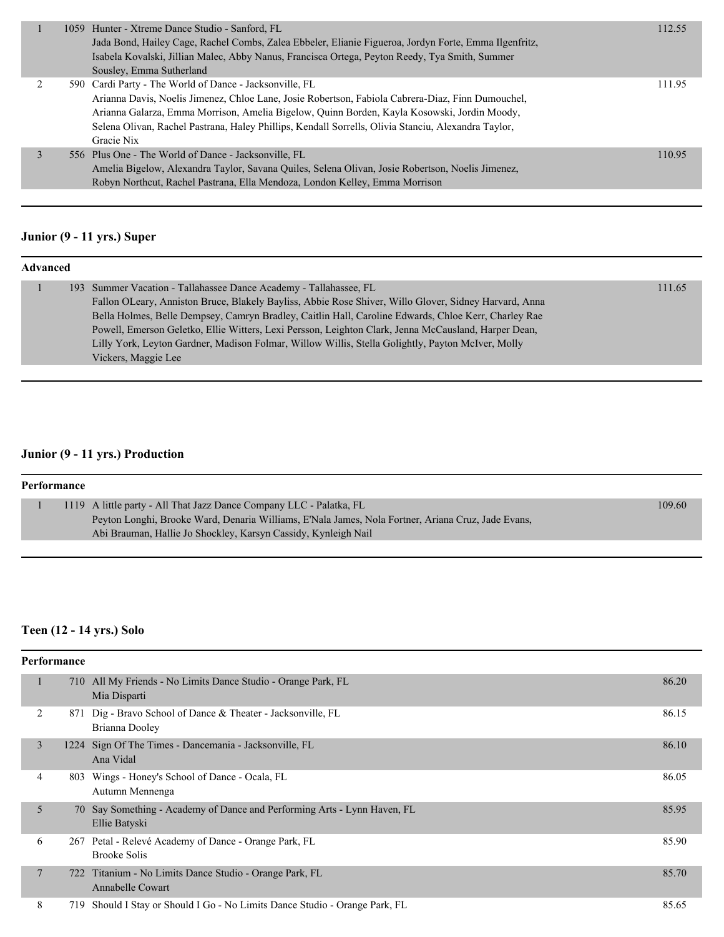|  | 1059 Hunter - Xtreme Dance Studio - Sanford, FL<br>Jada Bond, Hailey Cage, Rachel Combs, Zalea Ebbeler, Elianie Figueroa, Jordyn Forte, Emma Ilgenfritz,<br>Isabela Kovalski, Jillian Malec, Abby Nanus, Francisca Ortega, Peyton Reedy, Tya Smith, Summer<br>Sousley, Emma Sutherland                                                                                           | 112.55 |
|--|----------------------------------------------------------------------------------------------------------------------------------------------------------------------------------------------------------------------------------------------------------------------------------------------------------------------------------------------------------------------------------|--------|
|  | 590 Cardi Party - The World of Dance - Jacksonville, FL<br>Arianna Davis, Noelis Jimenez, Chloe Lane, Josie Robertson, Fabiola Cabrera-Diaz, Finn Dumouchel,<br>Arianna Galarza, Emma Morrison, Amelia Bigelow, Quinn Borden, Kayla Kosowski, Jordin Moody,<br>Selena Olivan, Rachel Pastrana, Haley Phillips, Kendall Sorrells, Olivia Stanciu, Alexandra Taylor,<br>Gracie Nix | 111.95 |
|  | 556 Plus One - The World of Dance - Jacksonville, FL<br>Amelia Bigelow, Alexandra Taylor, Savana Quiles, Selena Olivan, Josie Robertson, Noelis Jimenez,<br>Robyn Northcut, Rachel Pastrana, Ella Mendoza, London Kelley, Emma Morrison                                                                                                                                          | 110.95 |
|  |                                                                                                                                                                                                                                                                                                                                                                                  |        |

# **Junior (9 - 11 yrs.) Super**

| <b>Advanced</b> |                                                                                                       |        |
|-----------------|-------------------------------------------------------------------------------------------------------|--------|
|                 | 193 Summer Vacation - Tallahassee Dance Academy - Tallahassee, FL                                     | 111.65 |
|                 | Fallon OLeary, Anniston Bruce, Blakely Bayliss, Abbie Rose Shiver, Willo Glover, Sidney Harvard, Anna |        |
|                 | Bella Holmes, Belle Dempsey, Camryn Bradley, Caitlin Hall, Caroline Edwards, Chloe Kerr, Charley Rae  |        |
|                 | Powell, Emerson Geletko, Ellie Witters, Lexi Persson, Leighton Clark, Jenna McCausland, Harper Dean,  |        |
|                 | Lilly York, Leyton Gardner, Madison Folmar, Willow Willis, Stella Golightly, Payton McIver, Molly     |        |
|                 | Vickers, Maggie Lee                                                                                   |        |

## **Junior (9 - 11 yrs.) Production**

| Performance |                                                                                                    |        |
|-------------|----------------------------------------------------------------------------------------------------|--------|
|             | 1119 A little party - All That Jazz Dance Company LLC - Palatka, FL                                | 109.60 |
|             | Peyton Longhi, Brooke Ward, Denaria Williams, E'Nala James, Nola Fortner, Ariana Cruz, Jade Evans, |        |
|             | Abi Brauman, Hallie Jo Shockley, Karsyn Cassidy, Kynleigh Nail                                     |        |
|             |                                                                                                    |        |

## **Teen (12 - 14 yrs.) Solo**

|                | Performance |                                                                                           |       |  |  |
|----------------|-------------|-------------------------------------------------------------------------------------------|-------|--|--|
|                |             | 710 All My Friends - No Limits Dance Studio - Orange Park, FL<br>Mia Disparti             | 86.20 |  |  |
| 2              | 871         | Dig - Bravo School of Dance & Theater - Jacksonville, FL<br>Brianna Dooley                | 86.15 |  |  |
| 3              |             | 1224 Sign Of The Times - Dancemania - Jacksonville, FL<br>Ana Vidal                       | 86.10 |  |  |
| 4              |             | 803 Wings - Honey's School of Dance - Ocala, FL<br>Autumn Mennenga                        | 86.05 |  |  |
| 5              |             | 70 Say Something - Academy of Dance and Performing Arts - Lynn Haven, FL<br>Ellie Batyski | 85.95 |  |  |
| 6              | 267         | Petal - Relevé Academy of Dance - Orange Park, FL<br><b>Brooke Solis</b>                  | 85.90 |  |  |
| $\overline{7}$ |             | 722 Titanium - No Limits Dance Studio - Orange Park, FL<br><b>Annabelle Cowart</b>        | 85.70 |  |  |
| 8              | 719         | Should I Stay or Should I Go - No Limits Dance Studio - Orange Park, FL                   | 85.65 |  |  |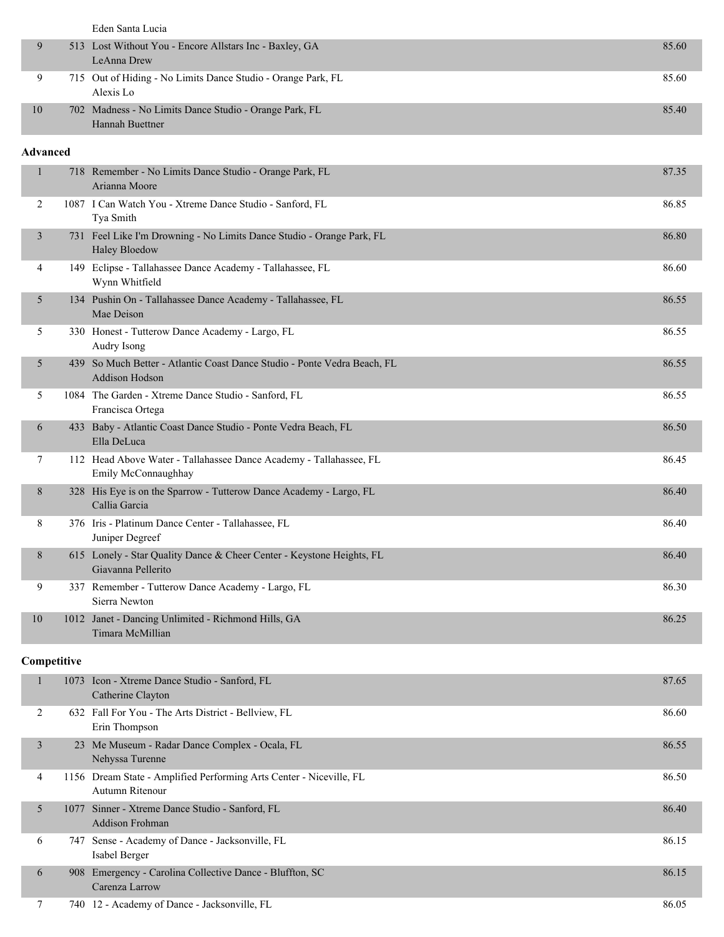|    | Eden Santa Lucia                                             |       |
|----|--------------------------------------------------------------|-------|
|    | 513 Lost Without You - Encore Allstars Inc - Baxley, GA      | 85.60 |
|    | LeAnna Drew                                                  |       |
|    | 715 Out of Hiding - No Limits Dance Studio - Orange Park, FL | 85.60 |
|    | Alexis Lo                                                    |       |
| 10 | 702 Madness - No Limits Dance Studio - Orange Park, FL       | 85.40 |
|    | Hannah Buettner                                              |       |

#### **Advanced**

| 1              |                                                                               | 718 Remember - No Limits Dance Studio - Orange Park, FL<br>87.35<br>Arianna Moore             |       |  |  |
|----------------|-------------------------------------------------------------------------------|-----------------------------------------------------------------------------------------------|-------|--|--|
| 2              |                                                                               | 1087 I Can Watch You - Xtreme Dance Studio - Sanford, FL<br>Tya Smith                         |       |  |  |
| $\mathfrak{Z}$ |                                                                               | 731 Feel Like I'm Drowning - No Limits Dance Studio - Orange Park, FL<br><b>Haley Bloedow</b> |       |  |  |
| 4              |                                                                               | 149 Eclipse - Tallahassee Dance Academy - Tallahassee, FL<br>Wynn Whitfield                   | 86.60 |  |  |
| 5              |                                                                               | 134 Pushin On - Tallahassee Dance Academy - Tallahassee, FL<br>Mae Deison                     | 86.55 |  |  |
| 5              |                                                                               | 330 Honest - Tutterow Dance Academy - Largo, FL<br>Audry Isong                                | 86.55 |  |  |
| 5              |                                                                               | 439 So Much Better - Atlantic Coast Dance Studio - Ponte Vedra Beach, FL<br>Addison Hodson    | 86.55 |  |  |
| 5              | 1084 The Garden - Xtreme Dance Studio - Sanford, FL<br>Francisca Ortega       |                                                                                               |       |  |  |
| 6              | 433 Baby - Atlantic Coast Dance Studio - Ponte Vedra Beach, FL<br>Ella DeLuca |                                                                                               | 86.50 |  |  |
| 7              |                                                                               | 112 Head Above Water - Tallahassee Dance Academy - Tallahassee, FL<br>Emily McConnaughhay     | 86.45 |  |  |
| 8              |                                                                               | 328 His Eye is on the Sparrow - Tutterow Dance Academy - Largo, FL<br>Callia Garcia           | 86.40 |  |  |
| 8              |                                                                               | 376 Iris - Platinum Dance Center - Tallahassee, FL<br>Juniper Degreef                         | 86.40 |  |  |
| 8              |                                                                               | 615 Lonely - Star Quality Dance & Cheer Center - Keystone Heights, FL<br>Giavanna Pellerito   | 86.40 |  |  |
| 9              |                                                                               | 337 Remember - Tutterow Dance Academy - Largo, FL<br>Sierra Newton                            | 86.30 |  |  |
| 10             |                                                                               | 1012 Janet - Dancing Unlimited - Richmond Hills, GA<br>Timara McMillian                       | 86.25 |  |  |
| Competitive    |                                                                               |                                                                                               |       |  |  |
| 1              |                                                                               | 1073 Icon - Xtreme Dance Studio - Sanford, FL<br>Catherine Clayton                            | 87.65 |  |  |
| 2              |                                                                               | 632 Fall For You - The Arts District - Bellview, FL                                           | 86.60 |  |  |

| 3<br>23 Me Museum - Radar Dance Complex - Ocala, FL<br>Nehyssa Turenne                      | 86.55 |
|---------------------------------------------------------------------------------------------|-------|
| 1156 Dream State - Amplified Performing Arts Center - Niceville, FL<br>4<br>Autumn Ritenour | 86.50 |
| 1077 Sinner - Xtreme Dance Studio - Sanford, FL<br>5<br><b>Addison Frohman</b>              | 86.40 |
| 747 Sense - Academy of Dance - Jacksonville, FL<br>6<br>Isabel Berger                       | 86.15 |
| 908 Emergency - Carolina Collective Dance - Bluffton, SC<br>6<br>Carenza Larrow             | 86.15 |

7 740 12 - Academy of Dance - Jacksonville, FL 86.05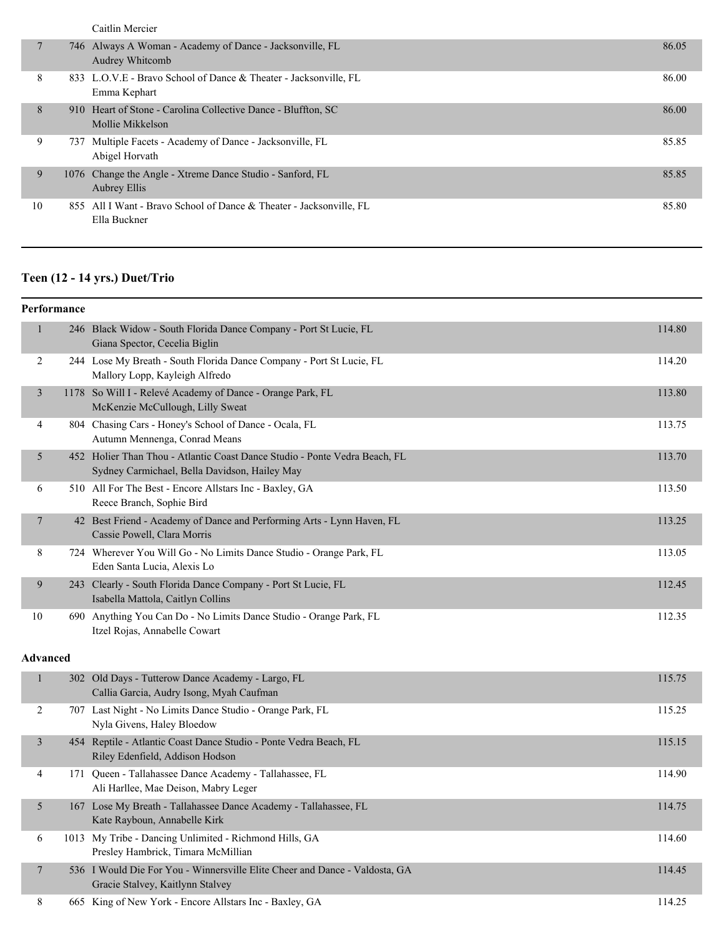| Caitlin Mercier |  |  |
|-----------------|--|--|
|                 |  |  |
|                 |  |  |

|    | 746 Always A Woman - Academy of Dance - Jacksonville, FL<br>Audrey Whitcomb         | 86.05 |
|----|-------------------------------------------------------------------------------------|-------|
| 8  | 833 L.O.V.E - Bravo School of Dance & Theater - Jacksonville, FL<br>Emma Kephart    | 86.00 |
| 8  | 910 Heart of Stone - Carolina Collective Dance - Bluffton, SC<br>Mollie Mikkelson   | 86.00 |
| 9  | 737 Multiple Facets - Academy of Dance - Jacksonville, FL<br>Abigel Horvath         | 85.85 |
| 9  | 1076 Change the Angle - Xtreme Dance Studio - Sanford, FL<br><b>Aubrey Ellis</b>    | 85.85 |
| 10 | 855 All I Want - Bravo School of Dance & Theater - Jacksonville, FL<br>Ella Buckner | 85.80 |

## **Teen (12 - 14 yrs.) Duet/Trio**

|                          | Performance |                                                                                                                             |        |
|--------------------------|-------------|-----------------------------------------------------------------------------------------------------------------------------|--------|
| $\mathbf{1}$             |             | 246 Black Widow - South Florida Dance Company - Port St Lucie, FL<br>Giana Spector, Cecelia Biglin                          | 114.80 |
| 2                        |             | 244 Lose My Breath - South Florida Dance Company - Port St Lucie, FL<br>Mallory Lopp, Kayleigh Alfredo                      | 114.20 |
| $\overline{\mathbf{3}}$  |             | 1178 So Will I - Relevé Academy of Dance - Orange Park, FL<br>McKenzie McCullough, Lilly Sweat                              | 113.80 |
| 4                        |             | 804 Chasing Cars - Honey's School of Dance - Ocala, FL<br>Autumn Mennenga, Conrad Means                                     | 113.75 |
| 5                        |             | 452 Holier Than Thou - Atlantic Coast Dance Studio - Ponte Vedra Beach, FL<br>Sydney Carmichael, Bella Davidson, Hailey May | 113.70 |
| 6                        |             | 510 All For The Best - Encore Allstars Inc - Baxley, GA<br>Reece Branch, Sophie Bird                                        | 113.50 |
| $\overline{\phantom{a}}$ |             | 42 Best Friend - Academy of Dance and Performing Arts - Lynn Haven, FL<br>Cassie Powell, Clara Morris                       | 113.25 |
| 8                        |             | 724 Wherever You Will Go - No Limits Dance Studio - Orange Park, FL<br>Eden Santa Lucia, Alexis Lo                          | 113.05 |
| 9                        |             | 243 Clearly - South Florida Dance Company - Port St Lucie, FL<br>Isabella Mattola, Caitlyn Collins                          | 112.45 |
| 10                       |             | 690 Anything You Can Do - No Limits Dance Studio - Orange Park, FL<br>Itzel Rojas, Annabelle Cowart                         | 112.35 |
| <b>Advanced</b>          |             |                                                                                                                             |        |
| $\mathbf{1}$             |             | 302 Old Days - Tutterow Dance Academy - Largo, FL<br>Callia Garcia, Audry Isong, Myah Caufman                               | 115.75 |
| $\overline{2}$           |             | 707 Last Night - No Limits Dance Studio - Orange Park, FL<br>Nyla Givens, Haley Bloedow                                     | 115.25 |
| $\mathfrak{Z}$           |             | 454 Reptile - Atlantic Coast Dance Studio - Ponte Vedra Beach, FL<br>Riley Edenfield, Addison Hodson                        | 115.15 |
| 4                        |             | 171 Queen - Tallahassee Dance Academy - Tallahassee, FL<br>Ali Harllee, Mae Deison, Mabry Leger                             | 114.90 |
| 5                        |             | 167 Lose My Breath - Tallahassee Dance Academy - Tallahassee, FL<br>Kate Rayboun, Annabelle Kirk                            | 114.75 |
| 6                        |             | 1013 My Tribe - Dancing Unlimited - Richmond Hills, GA<br>Presley Hambrick, Timara McMillian                                | 114.60 |
| $\tau$                   |             | 536 I Would Die For You - Winnersville Elite Cheer and Dance - Valdosta, GA<br>Gracie Stalvey, Kaitlynn Stalvey             | 114.45 |
| 8                        |             | 665 King of New York - Encore Allstars Inc - Baxley, GA                                                                     | 114.25 |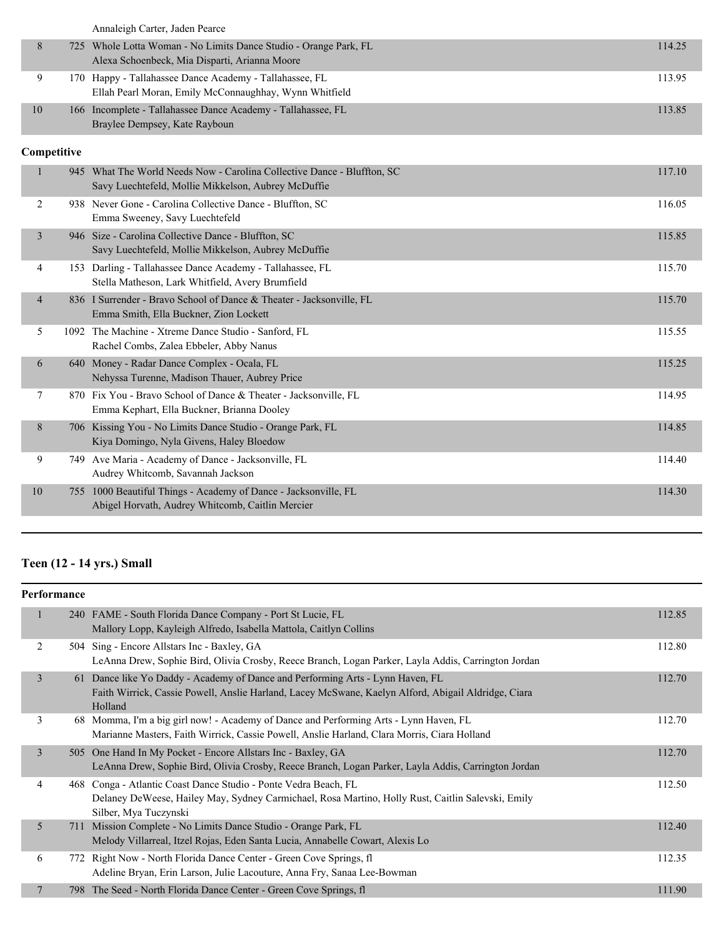|    | Annaleigh Carter, Jaden Pearce                                   |        |
|----|------------------------------------------------------------------|--------|
| 8  | 725 Whole Lotta Woman - No Limits Dance Studio - Orange Park, FL | 114.25 |
|    | Alexa Schoenbeck, Mia Disparti, Arianna Moore                    |        |
| 9  | 170 Happy - Tallahassee Dance Academy - Tallahassee, FL          | 113.95 |
|    | Ellah Pearl Moran, Emily McConnaughhay, Wynn Whitfield           |        |
| 10 | 166 Incomplete - Tallahassee Dance Academy - Tallahassee, FL     | 113.85 |
|    | Braylee Dempsey, Kate Rayboun                                    |        |

## **Competitive**

|    | 945            | What The World Needs Now - Carolina Collective Dance - Bluffton, SC<br>Savy Luechtefeld, Mollie Mikkelson, Aubrey McDuffie | 117.10 |
|----|----------------|----------------------------------------------------------------------------------------------------------------------------|--------|
|    | 2              | 938 Never Gone - Carolina Collective Dance - Bluffton, SC<br>Emma Sweeney, Savy Luechtefeld                                | 116.05 |
|    | 3              | 946 Size - Carolina Collective Dance - Bluffton, SC<br>Savy Luechtefeld, Mollie Mikkelson, Aubrey McDuffie                 | 115.85 |
|    | 4              | 153 Darling - Tallahassee Dance Academy - Tallahassee, FL<br>Stella Matheson, Lark Whitfield, Avery Brumfield              | 115.70 |
|    | $\overline{4}$ | 836 I Surrender - Bravo School of Dance & Theater - Jacksonville, FL<br>Emma Smith, Ella Buckner, Zion Lockett             | 115.70 |
|    | 5              | 1092 The Machine - Xtreme Dance Studio - Sanford, FL<br>Rachel Combs, Zalea Ebbeler, Abby Nanus                            | 115.55 |
|    | 6              | 640 Money - Radar Dance Complex - Ocala, FL<br>Nehyssa Turenne, Madison Thauer, Aubrey Price                               | 115.25 |
|    | 7<br>870       | Fix You - Bravo School of Dance & Theater - Jacksonville, FL<br>Emma Kephart, Ella Buckner, Brianna Dooley                 | 114.95 |
|    | 8              | 706 Kissing You - No Limits Dance Studio - Orange Park, FL<br>Kiya Domingo, Nyla Givens, Haley Bloedow                     | 114.85 |
|    | 9<br>749.      | Ave Maria - Academy of Dance - Jacksonville, FL<br>Audrey Whitcomb, Savannah Jackson                                       | 114.40 |
| 10 | 755            | 1000 Beautiful Things - Academy of Dance - Jacksonville, FL<br>Abigel Horvath, Audrey Whitcomb, Caitlin Mercier            | 114.30 |
|    |                |                                                                                                                            |        |

# **Teen (12 - 14 yrs.) Small**

|                | <b>Performance</b> |                                                                                                                                                                                                  |        |
|----------------|--------------------|--------------------------------------------------------------------------------------------------------------------------------------------------------------------------------------------------|--------|
| $\mathbf{1}$   |                    | 240 FAME - South Florida Dance Company - Port St Lucie, FL<br>Mallory Lopp, Kayleigh Alfredo, Isabella Mattola, Caitlyn Collins                                                                  | 112.85 |
| 2              |                    | 504 Sing - Encore Allstars Inc - Baxley, GA<br>LeAnna Drew, Sophie Bird, Olivia Crosby, Reece Branch, Logan Parker, Layla Addis, Carrington Jordan                                               | 112.80 |
| 3              |                    | 61 Dance like Yo Daddy - Academy of Dance and Performing Arts - Lynn Haven, FL<br>Faith Wirrick, Cassie Powell, Anslie Harland, Lacey McSwane, Kaelyn Alford, Abigail Aldridge, Ciara<br>Holland | 112.70 |
| 3              |                    | 68 Momma, I'm a big girl now! - Academy of Dance and Performing Arts - Lynn Haven, FL<br>Marianne Masters, Faith Wirrick, Cassie Powell, Anslie Harland, Clara Morris, Ciara Holland             | 112.70 |
| $\overline{3}$ |                    | 505 One Hand In My Pocket - Encore Allstars Inc - Baxley, GA<br>LeAnna Drew, Sophie Bird, Olivia Crosby, Reece Branch, Logan Parker, Layla Addis, Carrington Jordan                              | 112.70 |
| 4              |                    | 468 Conga - Atlantic Coast Dance Studio - Ponte Vedra Beach, FL<br>Delaney DeWeese, Hailey May, Sydney Carmichael, Rosa Martino, Holly Rust, Caitlin Salevski, Emily<br>Silber, Mya Tuczynski    | 112.50 |
| 5              | 711                | Mission Complete - No Limits Dance Studio - Orange Park, FL<br>Melody Villarreal, Itzel Rojas, Eden Santa Lucia, Annabelle Cowart, Alexis Lo                                                     | 112.40 |
| 6              |                    | 772 Right Now - North Florida Dance Center - Green Cove Springs, fl<br>Adeline Bryan, Erin Larson, Julie Lacouture, Anna Fry, Sanaa Lee-Bowman                                                   | 112.35 |
| 7              |                    | 798 The Seed - North Florida Dance Center - Green Cove Springs, fl                                                                                                                               | 111.90 |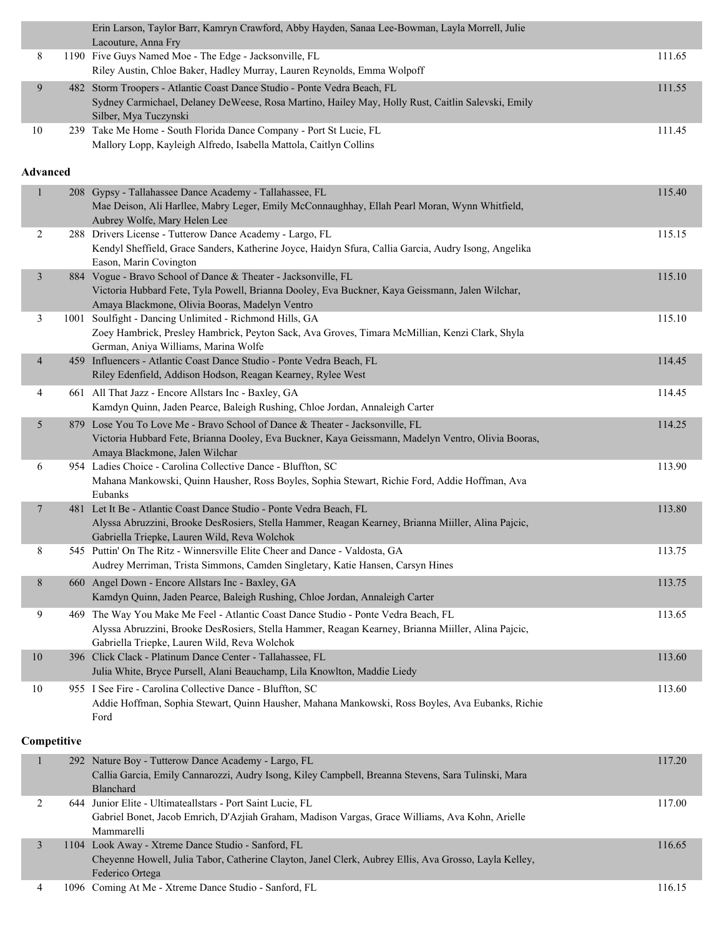|                | Erin Larson, Taylor Barr, Kamryn Crawford, Abby Hayden, Sanaa Lee-Bowman, Layla Morrell, Julie<br>Lacouture, Anna Fry                                                                    |        |
|----------------|------------------------------------------------------------------------------------------------------------------------------------------------------------------------------------------|--------|
| 8              | 1190 Five Guys Named Moe - The Edge - Jacksonville, FL<br>Riley Austin, Chloe Baker, Hadley Murray, Lauren Reynolds, Emma Wolpoff                                                        | 111.65 |
| 9              | 482 Storm Troopers - Atlantic Coast Dance Studio - Ponte Vedra Beach, FL                                                                                                                 | 111.55 |
|                | Sydney Carmichael, Delaney DeWeese, Rosa Martino, Hailey May, Holly Rust, Caitlin Salevski, Emily<br>Silber, Mya Tuczynski                                                               |        |
| 10             | 239 Take Me Home - South Florida Dance Company - Port St Lucie, FL<br>Mallory Lopp, Kayleigh Alfredo, Isabella Mattola, Caitlyn Collins                                                  | 111.45 |
|                |                                                                                                                                                                                          |        |
| Advanced       |                                                                                                                                                                                          |        |
| $\mathbf{1}$   | 208 Gypsy - Tallahassee Dance Academy - Tallahassee, FL<br>Mae Deison, Ali Harllee, Mabry Leger, Emily McConnaughhay, Ellah Pearl Moran, Wynn Whitfield,<br>Aubrey Wolfe, Mary Helen Lee | 115.40 |
| 2              | 288 Drivers License - Tutterow Dance Academy - Largo, FL                                                                                                                                 | 115.15 |
|                | Kendyl Sheffield, Grace Sanders, Katherine Joyce, Haidyn Sfura, Callia Garcia, Audry Isong, Angelika<br>Eason, Marin Covington                                                           |        |
| $\mathfrak{Z}$ | 884 Vogue - Bravo School of Dance & Theater - Jacksonville, FL                                                                                                                           | 115.10 |
|                | Victoria Hubbard Fete, Tyla Powell, Brianna Dooley, Eva Buckner, Kaya Geissmann, Jalen Wilchar,<br>Amaya Blackmone, Olivia Booras, Madelyn Ventro                                        |        |
| 3              | 1001 Soulfight - Dancing Unlimited - Richmond Hills, GA                                                                                                                                  | 115.10 |
|                | Zoey Hambrick, Presley Hambrick, Peyton Sack, Ava Groves, Timara McMillian, Kenzi Clark, Shyla                                                                                           |        |
| $\overline{4}$ | German, Aniya Williams, Marina Wolfe<br>459 Influencers - Atlantic Coast Dance Studio - Ponte Vedra Beach, FL                                                                            | 114.45 |
|                | Riley Edenfield, Addison Hodson, Reagan Kearney, Rylee West                                                                                                                              |        |
| 4              | 661 All That Jazz - Encore Allstars Inc - Baxley, GA<br>Kamdyn Quinn, Jaden Pearce, Baleigh Rushing, Chloe Jordan, Annaleigh Carter                                                      | 114.45 |
| 5              | 879 Lose You To Love Me - Bravo School of Dance & Theater - Jacksonville, FL                                                                                                             | 114.25 |
|                | Victoria Hubbard Fete, Brianna Dooley, Eva Buckner, Kaya Geissmann, Madelyn Ventro, Olivia Booras,<br>Amaya Blackmone, Jalen Wilchar                                                     |        |
| 6              | 954 Ladies Choice - Carolina Collective Dance - Bluffton, SC                                                                                                                             | 113.90 |
|                | Mahana Mankowski, Quinn Hausher, Ross Boyles, Sophia Stewart, Richie Ford, Addie Hoffman, Ava<br>Eubanks                                                                                 |        |
| $\overline{7}$ | 481 Let It Be - Atlantic Coast Dance Studio - Ponte Vedra Beach, FL                                                                                                                      | 113.80 |
|                | Alyssa Abruzzini, Brooke DesRosiers, Stella Hammer, Reagan Kearney, Brianna Miiller, Alina Pajcic,<br>Gabriella Triepke, Lauren Wild, Reva Wolchok                                       |        |
| 8              | 545 Puttin' On The Ritz - Winnersville Elite Cheer and Dance - Valdosta, GA                                                                                                              | 113.75 |
|                | Audrey Merriman, Trista Simmons, Camden Singletary, Katie Hansen, Carsyn Hines                                                                                                           |        |
| 8              | 660 Angel Down - Encore Allstars Inc - Baxley, GA<br>Kamdyn Quinn, Jaden Pearce, Baleigh Rushing, Chloe Jordan, Annaleigh Carter                                                         | 113.75 |
| 9              | 469 The Way You Make Me Feel - Atlantic Coast Dance Studio - Ponte Vedra Beach, FL                                                                                                       | 113.65 |
|                | Alyssa Abruzzini, Brooke DesRosiers, Stella Hammer, Reagan Kearney, Brianna Miiller, Alina Pajcic,<br>Gabriella Triepke, Lauren Wild, Reva Wolchok                                       |        |
| 10             | 396 Click Clack - Platinum Dance Center - Tallahassee, FL                                                                                                                                | 113.60 |
|                | Julia White, Bryce Pursell, Alani Beauchamp, Lila Knowlton, Maddie Liedy                                                                                                                 |        |
| 10             | 955 I See Fire - Carolina Collective Dance - Bluffton, SC<br>Addie Hoffman, Sophia Stewart, Quinn Hausher, Mahana Mankowski, Ross Boyles, Ava Eubanks, Richie<br>Ford                    | 113.60 |
| Competitive    |                                                                                                                                                                                          |        |
| $\mathbf{1}$   | 292 Nature Boy - Tutterow Dance Academy - Largo, FL                                                                                                                                      | 117.20 |
|                | Callia Garcia, Emily Cannarozzi, Audry Isong, Kiley Campbell, Breanna Stevens, Sara Tulinski, Mara<br>Blanchard                                                                          |        |
| 2              | 644 Junior Elite - Ultimateallstars - Port Saint Lucie, FL<br>Gabriel Bonet, Jacob Emrich, D'Azjiah Graham, Madison Vargas, Grace Williams, Ava Kohn, Arielle                            | 117.00 |
|                | Mammarelli                                                                                                                                                                               |        |
| $\mathfrak{Z}$ | 1104 Look Away - Xtreme Dance Studio - Sanford, FL<br>Cheyenne Howell, Julia Tabor, Catherine Clayton, Janel Clerk, Aubrey Ellis, Ava Grosso, Layla Kelley,                              | 116.65 |
|                | Federico Ortega                                                                                                                                                                          |        |
| 4              | 1096 Coming At Me - Xtreme Dance Studio - Sanford, FL                                                                                                                                    | 116.15 |

ı.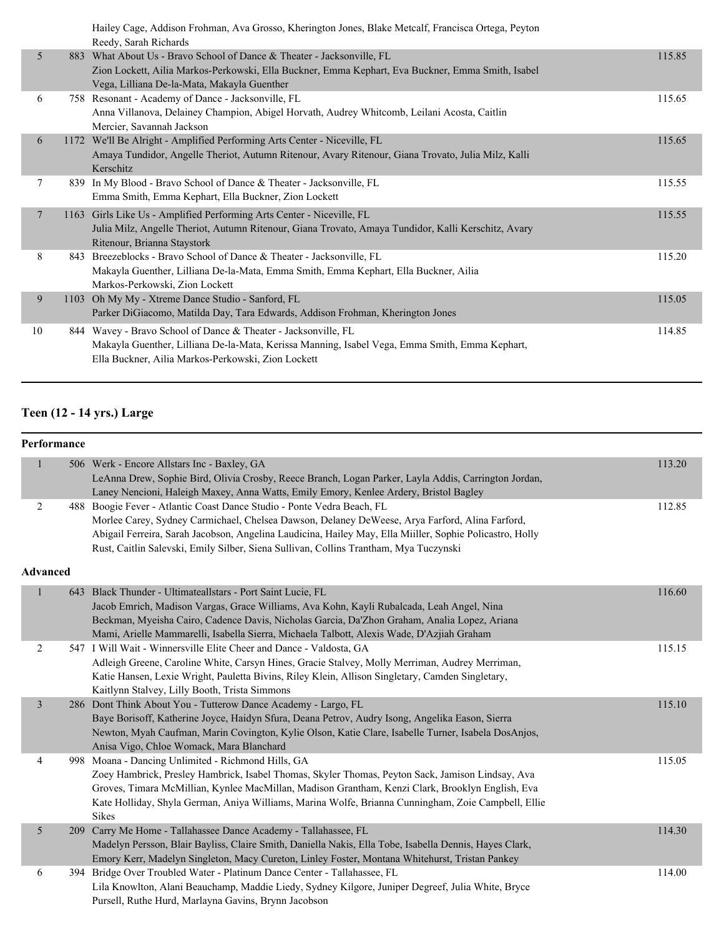|                 |     | Hailey Cage, Addison Frohman, Ava Grosso, Kherington Jones, Blake Metcalf, Francisca Ortega, Peyton<br>Reedy, Sarah Richards                                                                                           |        |
|-----------------|-----|------------------------------------------------------------------------------------------------------------------------------------------------------------------------------------------------------------------------|--------|
| 5               | 883 | What About Us - Bravo School of Dance & Theater - Jacksonville, FL<br>Zion Lockett, Ailia Markos-Perkowski, Ella Buckner, Emma Kephart, Eva Buckner, Emma Smith, Isabel<br>Vega, Lilliana De-la-Mata, Makayla Guenther | 115.85 |
| 6               |     | 758 Resonant - Academy of Dance - Jacksonville, FL<br>Anna Villanova, Delainey Champion, Abigel Horvath, Audrey Whitcomb, Leilani Acosta, Caitlin<br>Mercier, Savannah Jackson                                         | 115.65 |
| 6               |     | 1172 We'll Be Alright - Amplified Performing Arts Center - Niceville, FL<br>Amaya Tundidor, Angelle Theriot, Autumn Ritenour, Avary Ritenour, Giana Trovato, Julia Milz, Kalli<br>Kerschitz                            | 115.65 |
| 7               |     | 839 In My Blood - Bravo School of Dance & Theater - Jacksonville, FL<br>Emma Smith, Emma Kephart, Ella Buckner, Zion Lockett                                                                                           | 115.55 |
| $7\phantom{.0}$ |     | 1163 Girls Like Us - Amplified Performing Arts Center - Niceville, FL<br>Julia Milz, Angelle Theriot, Autumn Ritenour, Giana Trovato, Amaya Tundidor, Kalli Kerschitz, Avary<br>Ritenour, Brianna Staystork            | 115.55 |
| 8               |     | 843 Breezeblocks - Bravo School of Dance & Theater - Jacksonville, FL<br>Makayla Guenther, Lilliana De-la-Mata, Emma Smith, Emma Kephart, Ella Buckner, Ailia<br>Markos-Perkowski, Zion Lockett                        | 115.20 |
| 9               |     | 1103 Oh My My - Xtreme Dance Studio - Sanford, FL<br>Parker DiGiacomo, Matilda Day, Tara Edwards, Addison Frohman, Kherington Jones                                                                                    | 115.05 |
| 10              |     | 844 Wavey - Bravo School of Dance & Theater - Jacksonville, FL<br>Makayla Guenther, Lilliana De-la-Mata, Kerissa Manning, Isabel Vega, Emma Smith, Emma Kephart,<br>Ella Buckner, Ailia Markos-Perkowski, Zion Lockett | 114.85 |

# **Teen (12 - 14 yrs.) Large**

| Performance             |     |                                                                                                                                                                                                                                                                                                                                                                               |        |
|-------------------------|-----|-------------------------------------------------------------------------------------------------------------------------------------------------------------------------------------------------------------------------------------------------------------------------------------------------------------------------------------------------------------------------------|--------|
| $\mathbf{1}$            |     | 506 Werk - Encore Allstars Inc - Baxley, GA<br>LeAnna Drew, Sophie Bird, Olivia Crosby, Reece Branch, Logan Parker, Layla Addis, Carrington Jordan,<br>Laney Nencioni, Haleigh Maxey, Anna Watts, Emily Emory, Kenlee Ardery, Bristol Bagley                                                                                                                                  | 113.20 |
| 2                       |     | 488 Boogie Fever - Atlantic Coast Dance Studio - Ponte Vedra Beach, FL<br>Morlee Carey, Sydney Carmichael, Chelsea Dawson, Delaney DeWeese, Arya Farford, Alina Farford,<br>Abigail Ferreira, Sarah Jacobson, Angelina Laudicina, Hailey May, Ella Miiller, Sophie Policastro, Holly<br>Rust, Caitlin Salevski, Emily Silber, Siena Sullivan, Collins Trantham, Mya Tuczynski | 112.85 |
| <b>Advanced</b>         |     |                                                                                                                                                                                                                                                                                                                                                                               |        |
| 1                       |     | 643 Black Thunder - Ultimateallstars - Port Saint Lucie, FL<br>Jacob Emrich, Madison Vargas, Grace Williams, Ava Kohn, Kayli Rubalcada, Leah Angel, Nina<br>Beckman, Myeisha Cairo, Cadence Davis, Nicholas Garcia, Da'Zhon Graham, Analia Lopez, Ariana<br>Mami, Arielle Mammarelli, Isabella Sierra, Michaela Talbott, Alexis Wade, D'Azjiah Graham                         | 116.60 |
| $\overline{2}$          |     | 547 I Will Wait - Winnersville Elite Cheer and Dance - Valdosta, GA<br>Adleigh Greene, Caroline White, Carsyn Hines, Gracie Stalvey, Molly Merriman, Audrey Merriman,<br>Katie Hansen, Lexie Wright, Pauletta Bivins, Riley Klein, Allison Singletary, Camden Singletary,<br>Kaitlynn Stalvey, Lilly Booth, Trista Simmons                                                    | 115.15 |
| $\overline{\mathbf{3}}$ |     | 286 Dont Think About You - Tutterow Dance Academy - Largo, FL<br>Baye Borisoff, Katherine Joyce, Haidyn Sfura, Deana Petrov, Audry Isong, Angelika Eason, Sierra<br>Newton, Myah Caufman, Marin Covington, Kylie Olson, Katie Clare, Isabelle Turner, Isabela DosAnjos,<br>Anisa Vigo, Chloe Womack, Mara Blanchard                                                           | 115.10 |
| 4                       |     | 998 Moana - Dancing Unlimited - Richmond Hills, GA<br>Zoey Hambrick, Presley Hambrick, Isabel Thomas, Skyler Thomas, Peyton Sack, Jamison Lindsay, Ava<br>Groves, Timara McMillian, Kynlee MacMillan, Madison Grantham, Kenzi Clark, Brooklyn English, Eva<br>Kate Holliday, Shyla German, Aniya Williams, Marina Wolfe, Brianna Cunningham, Zoie Campbell, Ellie<br>Sikes    | 115.05 |
| 5                       |     | 209 Carry Me Home - Tallahassee Dance Academy - Tallahassee, FL<br>Madelyn Persson, Blair Bayliss, Claire Smith, Daniella Nakis, Ella Tobe, Isabella Dennis, Hayes Clark,<br>Emory Kerr, Madelyn Singleton, Macy Cureton, Linley Foster, Montana Whitehurst, Tristan Pankey                                                                                                   | 114.30 |
| 6                       | 394 | Bridge Over Troubled Water - Platinum Dance Center - Tallahassee, FL<br>Lila Knowlton, Alani Beauchamp, Maddie Liedy, Sydney Kilgore, Juniper Degreef, Julia White, Bryce<br>Pursell, Ruthe Hurd, Marlayna Gavins, Brynn Jacobson                                                                                                                                             | 114.00 |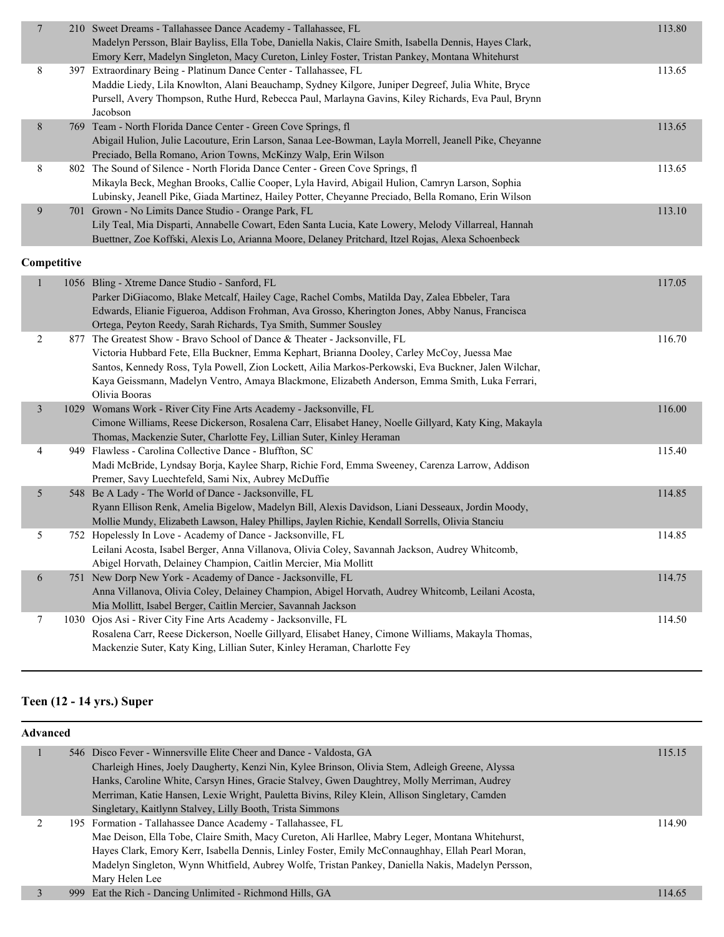| $\overline{7}$ |             | 210 Sweet Dreams - Tallahassee Dance Academy - Tallahassee, FL<br>Madelyn Persson, Blair Bayliss, Ella Tobe, Daniella Nakis, Claire Smith, Isabella Dennis, Hayes Clark,<br>Emory Kerr, Madelyn Singleton, Macy Cureton, Linley Foster, Tristan Pankey, Montana Whitehurst                                                                                                                           | 113.80 |
|----------------|-------------|------------------------------------------------------------------------------------------------------------------------------------------------------------------------------------------------------------------------------------------------------------------------------------------------------------------------------------------------------------------------------------------------------|--------|
| 8              |             | 397 Extraordinary Being - Platinum Dance Center - Tallahassee, FL<br>Maddie Liedy, Lila Knowlton, Alani Beauchamp, Sydney Kilgore, Juniper Degreef, Julia White, Bryce<br>Pursell, Avery Thompson, Ruthe Hurd, Rebecca Paul, Marlayna Gavins, Kiley Richards, Eva Paul, Brynn<br>Jacobson                                                                                                            | 113.65 |
| 8              |             | 769 Team - North Florida Dance Center - Green Cove Springs, fl<br>Abigail Hulion, Julie Lacouture, Erin Larson, Sanaa Lee-Bowman, Layla Morrell, Jeanell Pike, Cheyanne<br>Preciado, Bella Romano, Arion Towns, McKinzy Walp, Erin Wilson                                                                                                                                                            | 113.65 |
| 8              |             | 802 The Sound of Silence - North Florida Dance Center - Green Cove Springs, fl<br>Mikayla Beck, Meghan Brooks, Callie Cooper, Lyla Havird, Abigail Hulion, Camryn Larson, Sophia<br>Lubinsky, Jeanell Pike, Giada Martinez, Hailey Potter, Cheyanne Preciado, Bella Romano, Erin Wilson                                                                                                              | 113.65 |
| 9              |             | 701 Grown - No Limits Dance Studio - Orange Park, FL<br>Lily Teal, Mia Disparti, Annabelle Cowart, Eden Santa Lucia, Kate Lowery, Melody Villarreal, Hannah<br>Buettner, Zoe Koffski, Alexis Lo, Arianna Moore, Delaney Pritchard, Itzel Rojas, Alexa Schoenbeck                                                                                                                                     | 113.10 |
|                | Competitive |                                                                                                                                                                                                                                                                                                                                                                                                      |        |
| $\mathbf{1}$   |             | 1056 Bling - Xtreme Dance Studio - Sanford, FL<br>Parker DiGiacomo, Blake Metcalf, Hailey Cage, Rachel Combs, Matilda Day, Zalea Ebbeler, Tara<br>Edwards, Elianie Figueroa, Addison Frohman, Ava Grosso, Kherington Jones, Abby Nanus, Francisca<br>Ortega, Peyton Reedy, Sarah Richards, Tya Smith, Summer Sousley                                                                                 | 117.05 |
| 2              |             | 877 The Greatest Show - Bravo School of Dance & Theater - Jacksonville, FL<br>Victoria Hubbard Fete, Ella Buckner, Emma Kephart, Brianna Dooley, Carley McCoy, Juessa Mae<br>Santos, Kennedy Ross, Tyla Powell, Zion Lockett, Ailia Markos-Perkowski, Eva Buckner, Jalen Wilchar,<br>Kaya Geissmann, Madelyn Ventro, Amaya Blackmone, Elizabeth Anderson, Emma Smith, Luka Ferrari,<br>Olivia Booras | 116.70 |
| 3              |             | 1029 Womans Work - River City Fine Arts Academy - Jacksonville, FL<br>Cimone Williams, Reese Dickerson, Rosalena Carr, Elisabet Haney, Noelle Gillyard, Katy King, Makayla<br>Thomas, Mackenzie Suter, Charlotte Fey, Lillian Suter, Kinley Heraman                                                                                                                                                  | 116.00 |
| 4              |             | 949 Flawless - Carolina Collective Dance - Bluffton, SC<br>Madi McBride, Lyndsay Borja, Kaylee Sharp, Richie Ford, Emma Sweeney, Carenza Larrow, Addison<br>Premer, Savy Luechtefeld, Sami Nix, Aubrey McDuffie                                                                                                                                                                                      | 115.40 |
| 5              |             | 548 Be A Lady - The World of Dance - Jacksonville, FL<br>Ryann Ellison Renk, Amelia Bigelow, Madelyn Bill, Alexis Davidson, Liani Desseaux, Jordin Moody,<br>Mollie Mundy, Elizabeth Lawson, Haley Phillips, Jaylen Richie, Kendall Sorrells, Olivia Stanciu                                                                                                                                         | 114.85 |
| 5              |             | 752 Hopelessly In Love - Academy of Dance - Jacksonville, FL<br>Leilani Acosta, Isabel Berger, Anna Villanova, Olivia Coley, Savannah Jackson, Audrey Whitcomb,<br>Abigel Horvath, Delainey Champion, Caitlin Mercier, Mia Mollitt                                                                                                                                                                   | 114.85 |
| 6              |             | 751 New Dorp New York - Academy of Dance - Jacksonville, FL<br>Anna Villanova, Olivia Coley, Delainey Champion, Abigel Horvath, Audrey Whitcomb, Leilani Acosta,<br>Mia Mollitt, Isabel Berger, Caitlin Mercier, Savannah Jackson                                                                                                                                                                    | 114.75 |
| 7              |             | 1030 Ojos Asi - River City Fine Arts Academy - Jacksonville, FL<br>Rosalena Carr, Reese Dickerson, Noelle Gillyard, Elisabet Haney, Cimone Williams, Makayla Thomas,<br>Mackenzie Suter, Katy King, Lillian Suter, Kinley Heraman, Charlotte Fey                                                                                                                                                     | 114.50 |

## **Teen (12 - 14 yrs.) Super**

| Advanced |                                                                                                   |        |
|----------|---------------------------------------------------------------------------------------------------|--------|
|          | 546 Disco Fever - Winnersville Elite Cheer and Dance - Valdosta, GA                               | 115.15 |
|          | Charleigh Hines, Joely Daugherty, Kenzi Nin, Kylee Brinson, Olivia Stem, Adleigh Greene, Alyssa   |        |
|          | Hanks, Caroline White, Carsyn Hines, Gracie Stalvey, Gwen Daughtrey, Molly Merriman, Audrey       |        |
|          | Merriman, Katie Hansen, Lexie Wright, Pauletta Bivins, Riley Klein, Allison Singletary, Camden    |        |
|          | Singletary, Kaitlynn Stalvey, Lilly Booth, Trista Simmons                                         |        |
|          | 195 Formation - Tallahassee Dance Academy - Tallahassee, FL                                       | 114.90 |
|          | Mae Deison, Ella Tobe, Claire Smith, Macy Cureton, Ali Harllee, Mabry Leger, Montana Whitehurst,  |        |
|          | Hayes Clark, Emory Kerr, Isabella Dennis, Linley Foster, Emily McConnaughhay, Ellah Pearl Moran,  |        |
|          | Madelyn Singleton, Wynn Whitfield, Aubrey Wolfe, Tristan Pankey, Daniella Nakis, Madelyn Persson, |        |
|          | Mary Helen Lee                                                                                    |        |
|          | 999 Eat the Rich - Dancing Unlimited - Richmond Hills, GA                                         | 114.65 |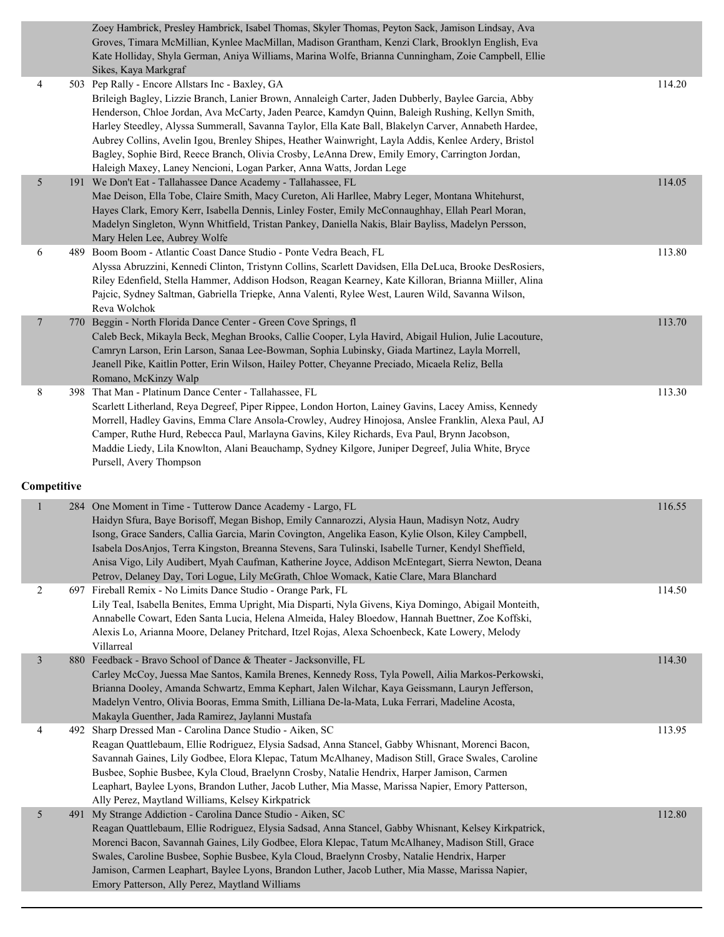|                |     | Zoey Hambrick, Presley Hambrick, Isabel Thomas, Skyler Thomas, Peyton Sack, Jamison Lindsay, Ava<br>Groves, Timara McMillian, Kynlee MacMillan, Madison Grantham, Kenzi Clark, Brooklyn English, Eva<br>Kate Holliday, Shyla German, Aniya Williams, Marina Wolfe, Brianna Cunningham, Zoie Campbell, Ellie<br>Sikes, Kaya Markgraf                                                                                                                                                                                                                                                                                                                   |        |
|----------------|-----|-------------------------------------------------------------------------------------------------------------------------------------------------------------------------------------------------------------------------------------------------------------------------------------------------------------------------------------------------------------------------------------------------------------------------------------------------------------------------------------------------------------------------------------------------------------------------------------------------------------------------------------------------------|--------|
| 4              |     | 503 Pep Rally - Encore Allstars Inc - Baxley, GA<br>Brileigh Bagley, Lizzie Branch, Lanier Brown, Annaleigh Carter, Jaden Dubberly, Baylee Garcia, Abby<br>Henderson, Chloe Jordan, Ava McCarty, Jaden Pearce, Kamdyn Quinn, Baleigh Rushing, Kellyn Smith,<br>Harley Steedley, Alyssa Summerall, Savanna Taylor, Ella Kate Ball, Blakelyn Carver, Annabeth Hardee,<br>Aubrey Collins, Avelin Igou, Brenley Shipes, Heather Wainwright, Layla Addis, Kenlee Ardery, Bristol<br>Bagley, Sophie Bird, Reece Branch, Olivia Crosby, LeAnna Drew, Emily Emory, Carrington Jordan,<br>Haleigh Maxey, Laney Nencioni, Logan Parker, Anna Watts, Jordan Lege | 114.20 |
| 5              |     | 191 We Don't Eat - Tallahassee Dance Academy - Tallahassee, FL<br>Mae Deison, Ella Tobe, Claire Smith, Macy Cureton, Ali Harllee, Mabry Leger, Montana Whitehurst,<br>Hayes Clark, Emory Kerr, Isabella Dennis, Linley Foster, Emily McConnaughhay, Ellah Pearl Moran,<br>Madelyn Singleton, Wynn Whitfield, Tristan Pankey, Daniella Nakis, Blair Bayliss, Madelyn Persson,<br>Mary Helen Lee, Aubrey Wolfe                                                                                                                                                                                                                                          | 114.05 |
| 6              |     | 489 Boom Boom - Atlantic Coast Dance Studio - Ponte Vedra Beach, FL<br>Alyssa Abruzzini, Kennedi Clinton, Tristynn Collins, Scarlett Davidsen, Ella DeLuca, Brooke DesRosiers,<br>Riley Edenfield, Stella Hammer, Addison Hodson, Reagan Kearney, Kate Killoran, Brianna Miiller, Alina<br>Pajcic, Sydney Saltman, Gabriella Triepke, Anna Valenti, Rylee West, Lauren Wild, Savanna Wilson,<br>Reva Wolchok                                                                                                                                                                                                                                          | 113.80 |
| $\overline{7}$ |     | 770 Beggin - North Florida Dance Center - Green Cove Springs, fl<br>Caleb Beck, Mikayla Beck, Meghan Brooks, Callie Cooper, Lyla Havird, Abigail Hulion, Julie Lacouture,<br>Camryn Larson, Erin Larson, Sanaa Lee-Bowman, Sophia Lubinsky, Giada Martinez, Layla Morrell,<br>Jeanell Pike, Kaitlin Potter, Erin Wilson, Hailey Potter, Cheyanne Preciado, Micaela Reliz, Bella<br>Romano, McKinzy Walp                                                                                                                                                                                                                                               | 113.70 |
| 8              |     | 398 That Man - Platinum Dance Center - Tallahassee, FL<br>Scarlett Litherland, Reya Degreef, Piper Rippee, London Horton, Lainey Gavins, Lacey Amiss, Kennedy<br>Morrell, Hadley Gavins, Emma Clare Ansola-Crowley, Audrey Hinojosa, Anslee Franklin, Alexa Paul, AJ<br>Camper, Ruthe Hurd, Rebecca Paul, Marlayna Gavins, Kiley Richards, Eva Paul, Brynn Jacobson,<br>Maddie Liedy, Lila Knowlton, Alani Beauchamp, Sydney Kilgore, Juniper Degreef, Julia White, Bryce<br>Pursell, Avery Thompson                                                                                                                                                  | 113.30 |
| Competitive    |     |                                                                                                                                                                                                                                                                                                                                                                                                                                                                                                                                                                                                                                                       |        |
| $\mathbf{1}$   | 284 | One Moment in Time - Tutterow Dance Academy - Largo, FL<br>Haidyn Sfura, Baye Borisoff, Megan Bishop, Emily Cannarozzi, Alysia Haun, Madisyn Notz, Audry<br>Isong, Grace Sanders, Callia Garcia, Marin Covington, Angelika Eason, Kylie Olson, Kiley Campbell,<br>Isabela DosAnjos, Terra Kingston, Breanna Stevens, Sara Tulinski, Isabelle Turner, Kendyl Sheffield,<br>Anisa Vigo, Lily Audibert, Myah Caufman, Katherine Joyce, Addison McEntegart, Sierra Newton, Deana<br>Petrov, Delaney Day, Tori Logue, Lily McGrath, Chloe Womack, Katie Clare, Mara Blanchard                                                                              | 116.55 |
| $\overline{c}$ |     | 697 Fireball Remix - No Limits Dance Studio - Orange Park, FL<br>Lily Teal, Isabella Benites, Emma Upright, Mia Disparti, Nyla Givens, Kiya Domingo, Abigail Monteith,<br>Annabelle Cowart, Eden Santa Lucia, Helena Almeida, Haley Bloedow, Hannah Buettner, Zoe Koffski,<br>Alexis Lo, Arianna Moore, Delaney Pritchard, Itzel Rojas, Alexa Schoenbeck, Kate Lowery, Melody<br>Villarreal                                                                                                                                                                                                                                                           | 114.50 |
| $\mathfrak{Z}$ |     | 880 Feedback - Bravo School of Dance & Theater - Jacksonville, FL<br>Carley McCoy, Juessa Mae Santos, Kamila Brenes, Kennedy Ross, Tyla Powell, Ailia Markos-Perkowski,<br>Brianna Dooley, Amanda Schwartz, Emma Kephart, Jalen Wilchar, Kaya Geissmann, Lauryn Jefferson,<br>Madelyn Ventro, Olivia Booras, Emma Smith, Lilliana De-la-Mata, Luka Ferrari, Madeline Acosta,<br>Makayla Guenther, Jada Ramirez, Jaylanni Mustafa                                                                                                                                                                                                                      | 114.30 |
| 4              |     | 492 Sharp Dressed Man - Carolina Dance Studio - Aiken, SC<br>Reagan Quattlebaum, Ellie Rodriguez, Elysia Sadsad, Anna Stancel, Gabby Whisnant, Morenci Bacon,<br>Savannah Gaines, Lily Godbee, Elora Klepac, Tatum McAlhaney, Madison Still, Grace Swales, Caroline<br>Busbee, Sophie Busbee, Kyla Cloud, Braelynn Crosby, Natalie Hendrix, Harper Jamison, Carmen<br>Leaphart, Baylee Lyons, Brandon Luther, Jacob Luther, Mia Masse, Marissa Napier, Emory Patterson,<br>Ally Perez, Maytland Williams, Kelsey Kirkpatrick                                                                                                                          | 113.95 |
| 5              |     | 491 My Strange Addiction - Carolina Dance Studio - Aiken, SC<br>Reagan Quattlebaum, Ellie Rodriguez, Elysia Sadsad, Anna Stancel, Gabby Whisnant, Kelsey Kirkpatrick,<br>Morenci Bacon, Savannah Gaines, Lily Godbee, Elora Klepac, Tatum McAlhaney, Madison Still, Grace<br>Swales, Caroline Busbee, Sophie Busbee, Kyla Cloud, Braelynn Crosby, Natalie Hendrix, Harper<br>Jamison, Carmen Leaphart, Baylee Lyons, Brandon Luther, Jacob Luther, Mia Masse, Marissa Napier,<br>Emory Patterson, Ally Perez, Maytland Williams                                                                                                                       | 112.80 |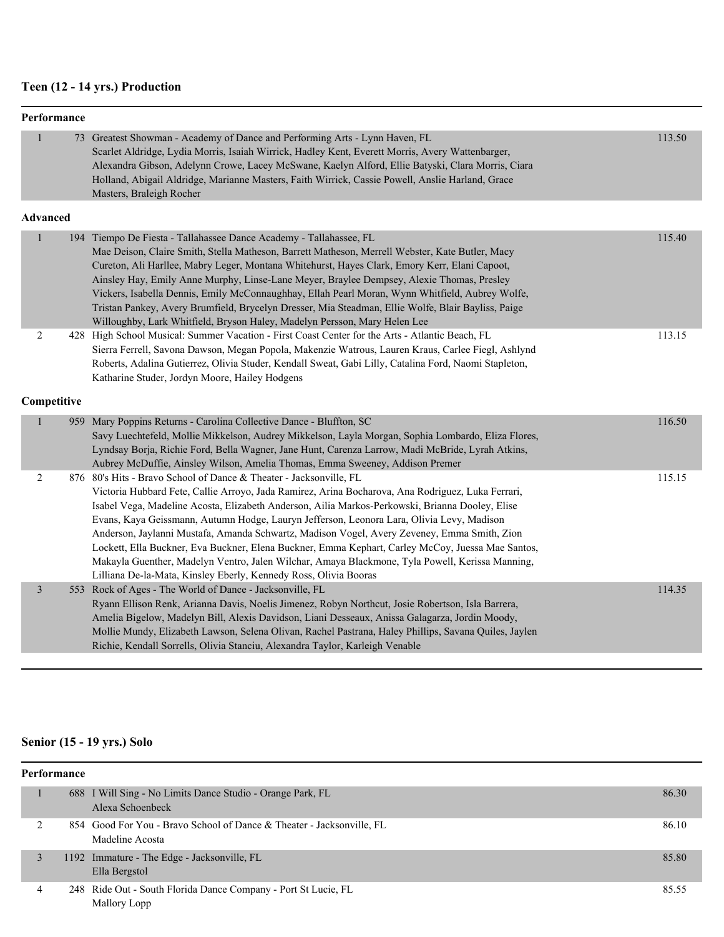## **Teen (12 - 14 yrs.) Production**

|                 | Performance |                                                                                                                                                                                                                                                                                                                                                                                                                                                                                                                                                                                                                                                                                                                                                    |        |
|-----------------|-------------|----------------------------------------------------------------------------------------------------------------------------------------------------------------------------------------------------------------------------------------------------------------------------------------------------------------------------------------------------------------------------------------------------------------------------------------------------------------------------------------------------------------------------------------------------------------------------------------------------------------------------------------------------------------------------------------------------------------------------------------------------|--------|
| $\mathbf{1}$    |             | 73 Greatest Showman - Academy of Dance and Performing Arts - Lynn Haven, FL<br>Scarlet Aldridge, Lydia Morris, Isaiah Wirrick, Hadley Kent, Everett Morris, Avery Wattenbarger,<br>Alexandra Gibson, Adelynn Crowe, Lacey McSwane, Kaelyn Alford, Ellie Batyski, Clara Morris, Ciara<br>Holland, Abigail Aldridge, Marianne Masters, Faith Wirrick, Cassie Powell, Anslie Harland, Grace<br>Masters, Braleigh Rocher                                                                                                                                                                                                                                                                                                                               | 113.50 |
| <b>Advanced</b> |             |                                                                                                                                                                                                                                                                                                                                                                                                                                                                                                                                                                                                                                                                                                                                                    |        |
| $\mathbf{1}$    |             | 194 Tiempo De Fiesta - Tallahassee Dance Academy - Tallahassee, FL<br>Mae Deison, Claire Smith, Stella Matheson, Barrett Matheson, Merrell Webster, Kate Butler, Macy<br>Cureton, Ali Harllee, Mabry Leger, Montana Whitehurst, Hayes Clark, Emory Kerr, Elani Capoot,<br>Ainsley Hay, Emily Anne Murphy, Linse-Lane Meyer, Braylee Dempsey, Alexie Thomas, Presley<br>Vickers, Isabella Dennis, Emily McConnaughhay, Ellah Pearl Moran, Wynn Whitfield, Aubrey Wolfe,<br>Tristan Pankey, Avery Brumfield, Brycelyn Dresser, Mia Steadman, Ellie Wolfe, Blair Bayliss, Paige<br>Willoughby, Lark Whitfield, Bryson Haley, Madelyn Persson, Mary Helen Lee                                                                                          | 115.40 |
| $\overline{2}$  |             | 428 High School Musical: Summer Vacation - First Coast Center for the Arts - Atlantic Beach, FL<br>Sierra Ferrell, Savona Dawson, Megan Popola, Makenzie Watrous, Lauren Kraus, Carlee Fiegl, Ashlynd<br>Roberts, Adalina Gutierrez, Olivia Studer, Kendall Sweat, Gabi Lilly, Catalina Ford, Naomi Stapleton,<br>Katharine Studer, Jordyn Moore, Hailey Hodgens                                                                                                                                                                                                                                                                                                                                                                                   | 113.15 |
| Competitive     |             |                                                                                                                                                                                                                                                                                                                                                                                                                                                                                                                                                                                                                                                                                                                                                    |        |
| $\mathbf{1}$    |             | 959 Mary Poppins Returns - Carolina Collective Dance - Bluffton, SC<br>Savy Luechtefeld, Mollie Mikkelson, Audrey Mikkelson, Layla Morgan, Sophia Lombardo, Eliza Flores,<br>Lyndsay Borja, Richie Ford, Bella Wagner, Jane Hunt, Carenza Larrow, Madi McBride, Lyrah Atkins,<br>Aubrey McDuffie, Ainsley Wilson, Amelia Thomas, Emma Sweeney, Addison Premer                                                                                                                                                                                                                                                                                                                                                                                      | 116.50 |
| $\overline{c}$  |             | 876 80's Hits - Bravo School of Dance & Theater - Jacksonville, FL<br>Victoria Hubbard Fete, Callie Arroyo, Jada Ramirez, Arina Bocharova, Ana Rodriguez, Luka Ferrari,<br>Isabel Vega, Madeline Acosta, Elizabeth Anderson, Ailia Markos-Perkowski, Brianna Dooley, Elise<br>Evans, Kaya Geissmann, Autumn Hodge, Lauryn Jefferson, Leonora Lara, Olivia Levy, Madison<br>Anderson, Jaylanni Mustafa, Amanda Schwartz, Madison Vogel, Avery Zeveney, Emma Smith, Zion<br>Lockett, Ella Buckner, Eva Buckner, Elena Buckner, Emma Kephart, Carley McCoy, Juessa Mae Santos,<br>Makayla Guenther, Madelyn Ventro, Jalen Wilchar, Amaya Blackmone, Tyla Powell, Kerissa Manning,<br>Lilliana De-la-Mata, Kinsley Eberly, Kennedy Ross, Olivia Booras | 115.15 |
| $\mathfrak{Z}$  |             | 553 Rock of Ages - The World of Dance - Jacksonville, FL<br>Ryann Ellison Renk, Arianna Davis, Noelis Jimenez, Robyn Northcut, Josie Robertson, Isla Barrera,<br>Amelia Bigelow, Madelyn Bill, Alexis Davidson, Liani Desseaux, Anissa Galagarza, Jordin Moody,<br>Mollie Mundy, Elizabeth Lawson, Selena Olivan, Rachel Pastrana, Haley Phillips, Savana Quiles, Jaylen<br>Richie, Kendall Sorrells, Olivia Stanciu, Alexandra Taylor, Karleigh Venable                                                                                                                                                                                                                                                                                           | 114.35 |

#### **Senior (15 - 19 yrs.) Solo**

| <b>Performance</b> |                                                                                          |       |  |  |
|--------------------|------------------------------------------------------------------------------------------|-------|--|--|
|                    | 688 I Will Sing - No Limits Dance Studio - Orange Park, FL<br>Alexa Schoenbeck           | 86.30 |  |  |
|                    | 854 Good For You - Bravo School of Dance & Theater - Jacksonville, FL<br>Madeline Acosta | 86.10 |  |  |
|                    | 1192 Immature - The Edge - Jacksonville, FL<br>Ella Bergstol                             | 85.80 |  |  |
|                    | 248 Ride Out - South Florida Dance Company - Port St Lucie, FL<br>Mallory Lopp           | 85.55 |  |  |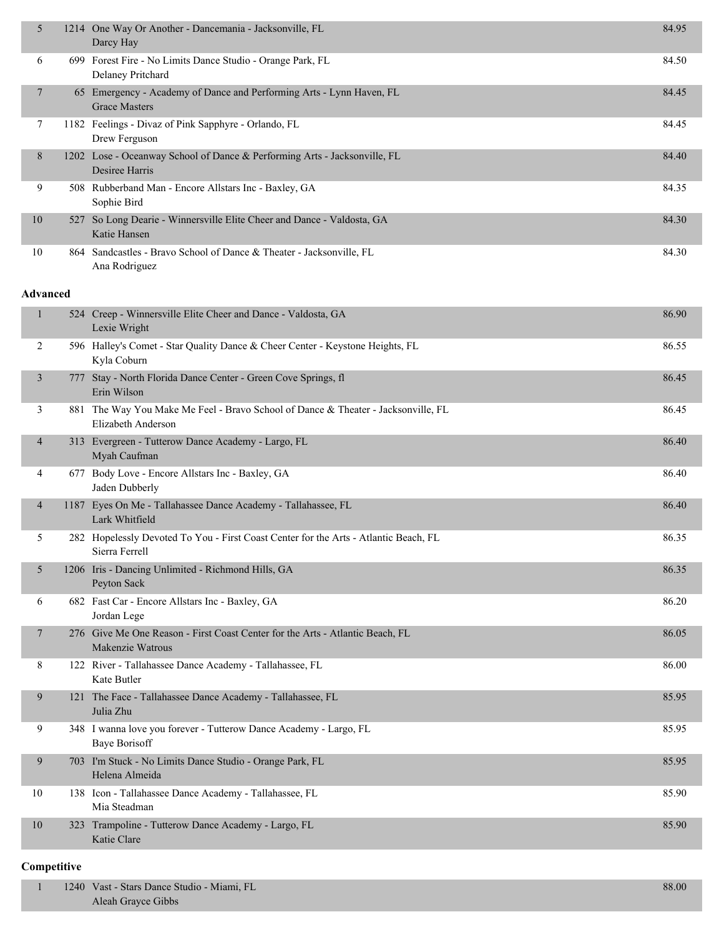| 5            | 1214 One Way Or Another - Dancemania - Jacksonville, FL<br>Darcy Hay                                    | 84.95 |
|--------------|---------------------------------------------------------------------------------------------------------|-------|
| 6            | 699 Forest Fire - No Limits Dance Studio - Orange Park, FL<br>Delaney Pritchard                         | 84.50 |
| $\tau$       | 65 Emergency - Academy of Dance and Performing Arts - Lynn Haven, FL<br><b>Grace Masters</b>            | 84.45 |
| 7            | 1182 Feelings - Divaz of Pink Sapphyre - Orlando, FL<br>Drew Ferguson                                   | 84.45 |
| 8            | 1202 Lose - Oceanway School of Dance & Performing Arts - Jacksonville, FL<br>Desiree Harris             | 84.40 |
| 9            | 508 Rubberband Man - Encore Allstars Inc - Baxley, GA<br>Sophie Bird                                    | 84.35 |
| 10           | 527 So Long Dearie - Winnersville Elite Cheer and Dance - Valdosta, GA<br>Katie Hansen                  | 84.30 |
| 10           | 864 Sandcastles - Bravo School of Dance & Theater - Jacksonville, FL<br>Ana Rodriguez                   | 84.30 |
| Advanced     |                                                                                                         |       |
| $\mathbf{1}$ | 524 Creep - Winnersville Elite Cheer and Dance - Valdosta, GA<br>Lexie Wright                           | 86.90 |
| 2            | 596 Halley's Comet - Star Quality Dance & Cheer Center - Keystone Heights, FL<br>Kyla Coburn            | 86.55 |
| 3            | 777 Stay - North Florida Dance Center - Green Cove Springs, fl<br>Erin Wilson                           | 86.45 |
| 3            | 881 The Way You Make Me Feel - Bravo School of Dance & Theater - Jacksonville, FL<br>Elizabeth Anderson | 86.45 |
| 4            | 313 Evergreen - Tutterow Dance Academy - Largo, FL<br>Myah Caufman                                      | 86.40 |
| 4            | 677 Body Love - Encore Allstars Inc - Baxley, GA<br>Jaden Dubberly                                      | 86.40 |
| 4            | 1187 Eyes On Me - Tallahassee Dance Academy - Tallahassee, FL<br>Lark Whitfield                         | 86.40 |
| 5            | 282 Hopelessly Devoted To You - First Coast Center for the Arts - Atlantic Beach, FL<br>Sierra Ferrell  | 86.35 |
| 5            | 1206 Iris - Dancing Unlimited - Richmond Hills, GA<br>Peyton Sack                                       | 86.35 |
| 6            | 682 Fast Car - Encore Allstars Inc - Baxley, GA<br>Jordan Lege                                          | 86.20 |
| $\tau$       | 276 Give Me One Reason - First Coast Center for the Arts - Atlantic Beach, FL<br>Makenzie Watrous       | 86.05 |
| 8            | 122 River - Tallahassee Dance Academy - Tallahassee, FL<br>Kate Butler                                  | 86.00 |
| 9            | 121 The Face - Tallahassee Dance Academy - Tallahassee, FL<br>Julia Zhu                                 | 85.95 |
| 9            | 348 I wanna love you forever - Tutterow Dance Academy - Largo, FL<br><b>Baye Borisoff</b>               | 85.95 |
| 9            | 703 I'm Stuck - No Limits Dance Studio - Orange Park, FL<br>Helena Almeida                              | 85.95 |
| 10           | 138 Icon - Tallahassee Dance Academy - Tallahassee, FL<br>Mia Steadman                                  | 85.90 |
| 10           | 323 Trampoline - Tutterow Dance Academy - Largo, FL<br>Katie Clare                                      | 85.90 |
|              |                                                                                                         |       |

#### **Competitive**

| 1240 Vast - Stars Dance Studio - Miami, FL | 88.00 |
|--------------------------------------------|-------|
| Aleah Grayce Gibbs                         |       |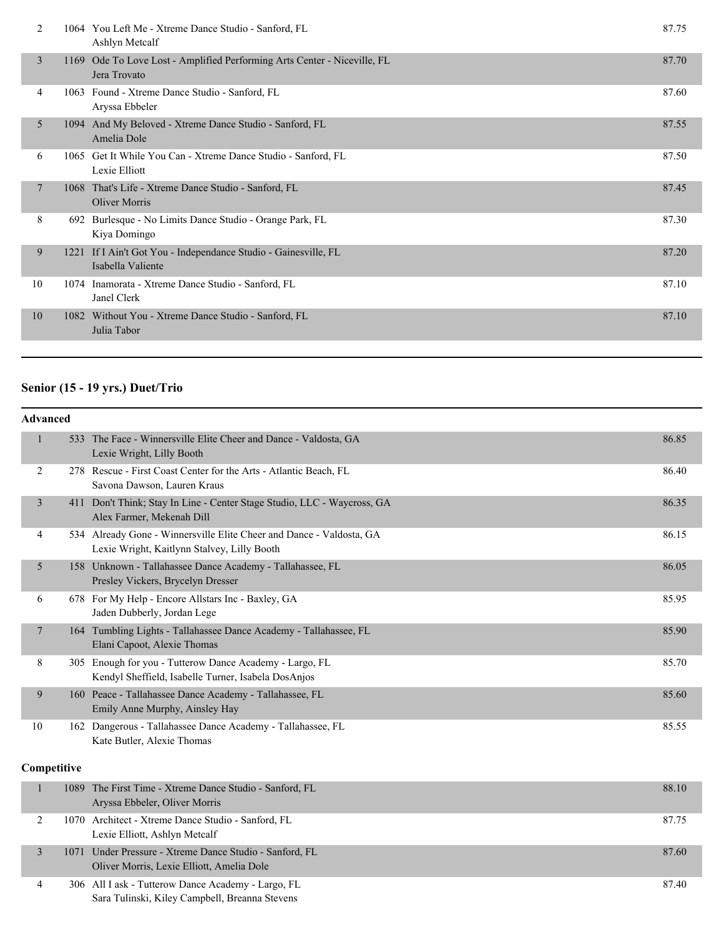| 2  |      | 1064 You Left Me - Xtreme Dance Studio - Sanford, FL<br>Ashlyn Metcalf                   | 87.75 |
|----|------|------------------------------------------------------------------------------------------|-------|
| 3  |      | 1169 Ode To Love Lost - Amplified Performing Arts Center - Niceville, FL<br>Jera Trovato | 87.70 |
| 4  |      | 1063 Found - Xtreme Dance Studio - Sanford, FL<br>Aryssa Ebbeler                         | 87.60 |
| 5  |      | 1094 And My Beloved - Xtreme Dance Studio - Sanford, FL<br>Amelia Dole                   | 87.55 |
| 6  |      | 1065 Get It While You Can - Xtreme Dance Studio - Sanford, FL<br>Lexie Elliott           | 87.50 |
| 7  | 1068 | That's Life - Xtreme Dance Studio - Sanford, FL<br>Oliver Morris                         | 87.45 |
| 8  |      | 692 Burlesque - No Limits Dance Studio - Orange Park, FL<br>Kiya Domingo                 | 87.30 |
| 9  | 1221 | If I Ain't Got You - Independance Studio - Gainesville, FL<br>Isabella Valiente          | 87.20 |
| 10 | 1074 | Inamorata - Xtreme Dance Studio - Sanford, FL<br>Janel Clerk                             | 87.10 |
| 10 | 1082 | Without You - Xtreme Dance Studio - Sanford, FL<br>Julia Tabor                           | 87.10 |
|    |      |                                                                                          |       |

# **Senior (15 - 19 yrs.) Duet/Trio**

|                | <b>Advanced</b> |                                                                                                                     |       |  |  |
|----------------|-----------------|---------------------------------------------------------------------------------------------------------------------|-------|--|--|
| $\mathbf{1}$   |                 | 533 The Face - Winnersville Elite Cheer and Dance - Valdosta, GA<br>Lexie Wright, Lilly Booth                       | 86.85 |  |  |
| 2              |                 | 278 Rescue - First Coast Center for the Arts - Atlantic Beach, FL<br>Savona Dawson, Lauren Kraus                    | 86.40 |  |  |
| $\overline{3}$ |                 | 411 Don't Think; Stay In Line - Center Stage Studio, LLC - Waycross, GA<br>Alex Farmer, Mekenah Dill                | 86.35 |  |  |
| 4              |                 | 534 Already Gone - Winnersville Elite Cheer and Dance - Valdosta, GA<br>Lexie Wright, Kaitlynn Stalvey, Lilly Booth | 86.15 |  |  |
| 5              |                 | 158 Unknown - Tallahassee Dance Academy - Tallahassee, FL<br>Presley Vickers, Brycelyn Dresser                      | 86.05 |  |  |
| 6              |                 | 678 For My Help - Encore Allstars Inc - Baxley, GA<br>Jaden Dubberly, Jordan Lege                                   | 85.95 |  |  |
| 7              |                 | 164 Tumbling Lights - Tallahassee Dance Academy - Tallahassee, FL<br>Elani Capoot, Alexie Thomas                    | 85.90 |  |  |
| 8              |                 | 305 Enough for you - Tutterow Dance Academy - Largo, FL<br>Kendyl Sheffield, Isabelle Turner, Isabela DosAnjos      | 85.70 |  |  |
| 9              |                 | 160 Peace - Tallahassee Dance Academy - Tallahassee, FL<br>Emily Anne Murphy, Ainsley Hay                           | 85.60 |  |  |
| 10             |                 | 162 Dangerous - Tallahassee Dance Academy - Tallahassee, FL<br>Kate Butler, Alexie Thomas                           | 85.55 |  |  |
|                | Competitive     |                                                                                                                     |       |  |  |
| 1              |                 | 1089 The First Time - Xtreme Dance Studio - Sanford, FL<br>Aryssa Ebbeler, Oliver Morris                            | 88.10 |  |  |
| 2              |                 | 1070 Architect - Xtreme Dance Studio - Sanford, FL<br>Lexie Elliott, Ashlyn Metcalf                                 | 87.75 |  |  |
| $\overline{3}$ | 1071            | Under Pressure - Xtreme Dance Studio - Sanford, FL<br>Oliver Morris, Lexie Elliott, Amelia Dole                     | 87.60 |  |  |

4 306 All I ask - Tutterow Dance Academy - Largo, FL 87.40 Sara Tulinski, Kiley Campbell, Breanna Stevens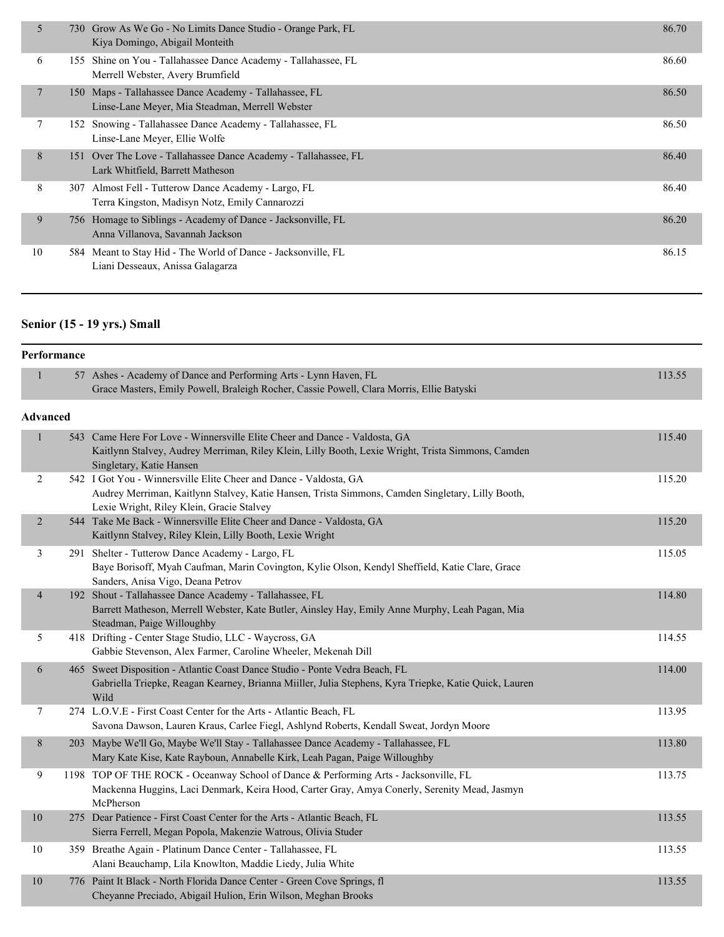| 5           |     | 730 Grow As We Go - No Limits Dance Studio - Orange Park, FL<br>Kiya Domingo, Abigail Monteith            | 86.70 |
|-------------|-----|-----------------------------------------------------------------------------------------------------------|-------|
| 6           |     | 155 Shine on You - Tallahassee Dance Academy - Tallahassee, FL<br>Merrell Webster, Avery Brumfield        | 86.60 |
| $7^{\circ}$ |     | 150 Maps - Tallahassee Dance Academy - Tallahassee, FL<br>Linse-Lane Meyer, Mia Steadman, Merrell Webster | 86.50 |
| 7           |     | 152 Snowing - Tallahassee Dance Academy - Tallahassee, FL<br>Linse-Lane Meyer, Ellie Wolfe                | 86.50 |
| 8           |     | 151 Over The Love - Tallahassee Dance Academy - Tallahassee, FL<br>Lark Whitfield, Barrett Matheson       | 86.40 |
| 8           | 307 | Almost Fell - Tutterow Dance Academy - Largo, FL<br>Terra Kingston, Madisyn Notz, Emily Cannarozzi        | 86.40 |
| 9           |     | 756 Homage to Siblings - Academy of Dance - Jacksonville, FL<br>Anna Villanova, Savannah Jackson          | 86.20 |
| 10          |     | 584 Meant to Stay Hid - The World of Dance - Jacksonville, FL<br>Liani Desseaux, Anissa Galagarza         | 86.15 |
|             |     |                                                                                                           |       |

## **Senior (15 - 19 yrs.) Small**

| Performance     |                                                                                                                                                                                                                    |        |
|-----------------|--------------------------------------------------------------------------------------------------------------------------------------------------------------------------------------------------------------------|--------|
| $\mathbf{1}$    | 57 Ashes - Academy of Dance and Performing Arts - Lynn Haven, FL<br>Grace Masters, Emily Powell, Braleigh Rocher, Cassie Powell, Clara Morris, Ellie Batyski                                                       | 113.55 |
| <b>Advanced</b> |                                                                                                                                                                                                                    |        |
| $\mathbf{1}$    | 543 Came Here For Love - Winnersville Elite Cheer and Dance - Valdosta, GA<br>Kaitlynn Stalvey, Audrey Merriman, Riley Klein, Lilly Booth, Lexie Wright, Trista Simmons, Camden<br>Singletary, Katie Hansen        | 115.40 |
| 2               | 542 I Got You - Winnersville Elite Cheer and Dance - Valdosta, GA<br>Audrey Merriman, Kaitlynn Stalvey, Katie Hansen, Trista Simmons, Camden Singletary, Lilly Booth,<br>Lexie Wright, Riley Klein, Gracie Stalvey | 115.20 |
| $\overline{2}$  | 544 Take Me Back - Winnersville Elite Cheer and Dance - Valdosta, GA<br>Kaitlynn Stalvey, Riley Klein, Lilly Booth, Lexie Wright                                                                                   | 115.20 |
| 3               | 291 Shelter - Tutterow Dance Academy - Largo, FL<br>Baye Borisoff, Myah Caufman, Marin Covington, Kylie Olson, Kendyl Sheffield, Katie Clare, Grace<br>Sanders, Anisa Vigo, Deana Petrov                           | 115.05 |
| $\overline{4}$  | 192 Shout - Tallahassee Dance Academy - Tallahassee, FL<br>Barrett Matheson, Merrell Webster, Kate Butler, Ainsley Hay, Emily Anne Murphy, Leah Pagan, Mia<br>Steadman, Paige Willoughby                           | 114.80 |
| 5               | 418 Drifting - Center Stage Studio, LLC - Waycross, GA<br>Gabbie Stevenson, Alex Farmer, Caroline Wheeler, Mekenah Dill                                                                                            | 114.55 |
| 6               | 465 Sweet Disposition - Atlantic Coast Dance Studio - Ponte Vedra Beach, FL<br>Gabriella Triepke, Reagan Kearney, Brianna Miiller, Julia Stephens, Kyra Triepke, Katie Quick, Lauren<br>Wild                       | 114.00 |
| 7               | 274 L.O.V.E - First Coast Center for the Arts - Atlantic Beach, FL<br>Savona Dawson, Lauren Kraus, Carlee Fiegl, Ashlynd Roberts, Kendall Sweat, Jordyn Moore                                                      | 113.95 |
| 8               | 203 Maybe We'll Go, Maybe We'll Stay - Tallahassee Dance Academy - Tallahassee, FL<br>Mary Kate Kise, Kate Rayboun, Annabelle Kirk, Leah Pagan, Paige Willoughby                                                   | 113.80 |
| $\mathbf{9}$    | 1198 TOP OF THE ROCK - Oceanway School of Dance & Performing Arts - Jacksonville, FL<br>Mackenna Huggins, Laci Denmark, Keira Hood, Carter Gray, Amya Conerly, Serenity Mead, Jasmyn<br>McPherson                  | 113.75 |
| $10\,$          | 275 Dear Patience - First Coast Center for the Arts - Atlantic Beach, FL<br>Sierra Ferrell, Megan Popola, Makenzie Watrous, Olivia Studer                                                                          | 113.55 |
| 10              | 359 Breathe Again - Platinum Dance Center - Tallahassee, FL<br>Alani Beauchamp, Lila Knowlton, Maddie Liedy, Julia White                                                                                           | 113.55 |
| 10              | 776 Paint It Black - North Florida Dance Center - Green Cove Springs, fl<br>Cheyanne Preciado, Abigail Hulion, Erin Wilson, Meghan Brooks                                                                          | 113.55 |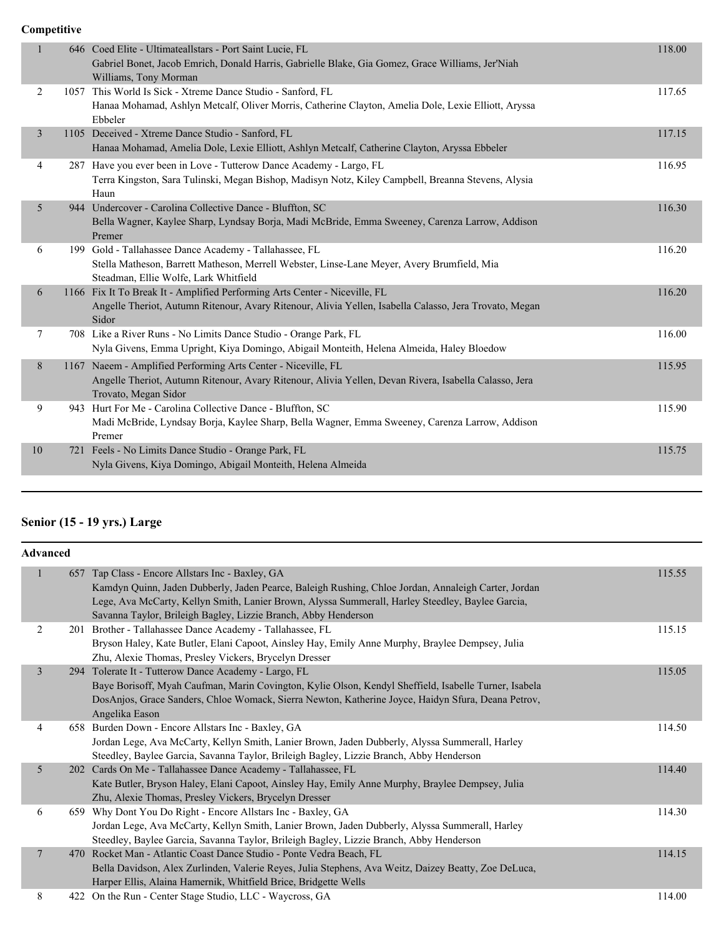**Competitive**

| 1  | 646 Coed Elite - Ultimateallstars - Port Saint Lucie, FL<br>Gabriel Bonet, Jacob Emrich, Donald Harris, Gabrielle Blake, Gia Gomez, Grace Williams, Jer'Niah<br>Williams, Tony Morman          | 118.00 |
|----|------------------------------------------------------------------------------------------------------------------------------------------------------------------------------------------------|--------|
| 2  | 1057 This World Is Sick - Xtreme Dance Studio - Sanford, FL<br>Hanaa Mohamad, Ashlyn Metcalf, Oliver Morris, Catherine Clayton, Amelia Dole, Lexie Elliott, Aryssa<br>Ebbeler                  | 117.65 |
| 3  | 1105 Deceived - Xtreme Dance Studio - Sanford, FL<br>Hanaa Mohamad, Amelia Dole, Lexie Elliott, Ashlyn Metcalf, Catherine Clayton, Aryssa Ebbeler                                              | 117.15 |
| 4  | 287 Have you ever been in Love - Tutterow Dance Academy - Largo, FL<br>Terra Kingston, Sara Tulinski, Megan Bishop, Madisyn Notz, Kiley Campbell, Breanna Stevens, Alysia<br>Haun              | 116.95 |
| 5  | 944 Undercover - Carolina Collective Dance - Bluffton, SC<br>Bella Wagner, Kaylee Sharp, Lyndsay Borja, Madi McBride, Emma Sweeney, Carenza Larrow, Addison<br>Premer                          | 116.30 |
| 6  | 199 Gold - Tallahassee Dance Academy - Tallahassee, FL<br>Stella Matheson, Barrett Matheson, Merrell Webster, Linse-Lane Meyer, Avery Brumfield, Mia<br>Steadman, Ellie Wolfe, Lark Whitfield  | 116.20 |
| 6  | 1166 Fix It To Break It - Amplified Performing Arts Center - Niceville, FL<br>Angelle Theriot, Autumn Ritenour, Avary Ritenour, Alivia Yellen, Isabella Calasso, Jera Trovato, Megan<br>Sidor  | 116.20 |
| 7  | 708 Like a River Runs - No Limits Dance Studio - Orange Park, FL<br>Nyla Givens, Emma Upright, Kiya Domingo, Abigail Monteith, Helena Almeida, Haley Bloedow                                   | 116.00 |
| 8  | 1167 Naeem - Amplified Performing Arts Center - Niceville, FL<br>Angelle Theriot, Autumn Ritenour, Avary Ritenour, Alivia Yellen, Devan Rivera, Isabella Calasso, Jera<br>Trovato, Megan Sidor | 115.95 |
| 9  | 943 Hurt For Me - Carolina Collective Dance - Bluffton, SC<br>Madi McBride, Lyndsay Borja, Kaylee Sharp, Bella Wagner, Emma Sweeney, Carenza Larrow, Addison<br>Premer                         | 115.90 |
| 10 | 721 Feels - No Limits Dance Studio - Orange Park, FL<br>Nyla Givens, Kiya Domingo, Abigail Monteith, Helena Almeida                                                                            | 115.75 |
|    |                                                                                                                                                                                                |        |

## **Senior (15 - 19 yrs.) Large**

|                | <b>Advanced</b> |                                                                                                                                                                                                                                                                                                                               |        |  |  |
|----------------|-----------------|-------------------------------------------------------------------------------------------------------------------------------------------------------------------------------------------------------------------------------------------------------------------------------------------------------------------------------|--------|--|--|
|                |                 | 657 Tap Class - Encore Allstars Inc - Baxley, GA<br>Kamdyn Quinn, Jaden Dubberly, Jaden Pearce, Baleigh Rushing, Chloe Jordan, Annaleigh Carter, Jordan<br>Lege, Ava McCarty, Kellyn Smith, Lanier Brown, Alyssa Summerall, Harley Steedley, Baylee Garcia,<br>Savanna Taylor, Brileigh Bagley, Lizzie Branch, Abby Henderson | 115.55 |  |  |
| 2              |                 | 201 Brother - Tallahassee Dance Academy - Tallahassee, FL<br>Bryson Haley, Kate Butler, Elani Capoot, Ainsley Hay, Emily Anne Murphy, Braylee Dempsey, Julia<br>Zhu, Alexie Thomas, Presley Vickers, Brycelyn Dresser                                                                                                         | 115.15 |  |  |
| $\overline{3}$ |                 | 294 Tolerate It - Tutterow Dance Academy - Largo, FL<br>Baye Borisoff, Myah Caufman, Marin Covington, Kylie Olson, Kendyl Sheffield, Isabelle Turner, Isabela<br>DosAnjos, Grace Sanders, Chloe Womack, Sierra Newton, Katherine Joyce, Haidyn Sfura, Deana Petrov,<br>Angelika Eason                                         | 115.05 |  |  |
| 4              |                 | 658 Burden Down - Encore Allstars Inc - Baxley, GA<br>Jordan Lege, Ava McCarty, Kellyn Smith, Lanier Brown, Jaden Dubberly, Alyssa Summerall, Harley<br>Steedley, Baylee Garcia, Savanna Taylor, Brileigh Bagley, Lizzie Branch, Abby Henderson                                                                               | 114.50 |  |  |
| 5              | <b>202</b>      | Cards On Me - Tallahassee Dance Academy - Tallahassee, FL<br>Kate Butler, Bryson Haley, Elani Capoot, Ainsley Hay, Emily Anne Murphy, Braylee Dempsey, Julia<br>Zhu, Alexie Thomas, Presley Vickers, Brycelyn Dresser                                                                                                         | 114.40 |  |  |
| 6              |                 | 659 Why Dont You Do Right - Encore Allstars Inc - Baxley, GA<br>Jordan Lege, Ava McCarty, Kellyn Smith, Lanier Brown, Jaden Dubberly, Alyssa Summerall, Harley<br>Steedley, Baylee Garcia, Savanna Taylor, Brileigh Bagley, Lizzie Branch, Abby Henderson                                                                     | 114.30 |  |  |
| $\overline{7}$ |                 | 470 Rocket Man - Atlantic Coast Dance Studio - Ponte Vedra Beach, FL<br>Bella Davidson, Alex Zurlinden, Valerie Reyes, Julia Stephens, Ava Weitz, Daizey Beatty, Zoe DeLuca,<br>Harper Ellis, Alaina Hamernik, Whitfield Brice, Bridgette Wells                                                                               | 114.15 |  |  |
| 8              |                 | 422 On the Run - Center Stage Studio, LLC - Waycross, GA                                                                                                                                                                                                                                                                      | 114.00 |  |  |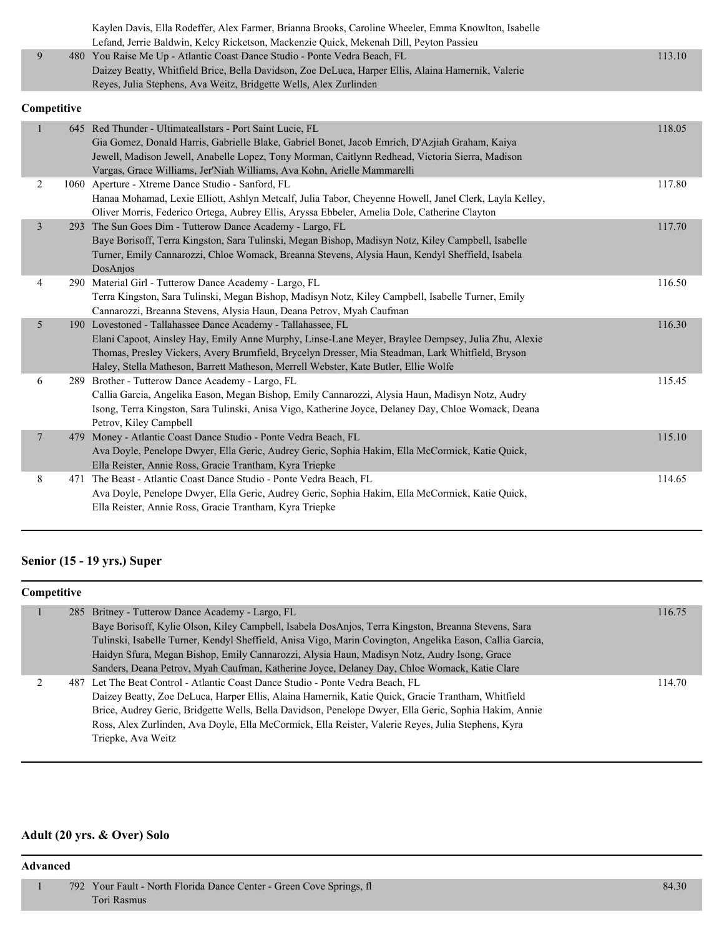|   | Kaylen Davis, Ella Rodeffer, Alex Farmer, Brianna Brooks, Caroline Wheeler, Emma Knowlton, Isabelle |        |
|---|-----------------------------------------------------------------------------------------------------|--------|
|   | Lefand, Jerrie Baldwin, Kelcy Ricketson, Mackenzie Quick, Mekenah Dill, Peyton Passieu              |        |
| 9 | 480 You Raise Me Up - Atlantic Coast Dance Studio - Ponte Vedra Beach, FL                           | 113.10 |
|   | Daizey Beatty, Whitfield Brice, Bella Davidson, Zoe DeLuca, Harper Ellis, Alaina Hamernik, Valerie  |        |
|   | Reyes, Julia Stephens, Ava Weitz, Bridgette Wells, Alex Zurlinden                                   |        |

#### **Competitive**

|                         |     | 645 Red Thunder - Ultimateallstars - Port Saint Lucie, FL<br>Gia Gomez, Donald Harris, Gabrielle Blake, Gabriel Bonet, Jacob Emrich, D'Azjiah Graham, Kaiya<br>Jewell, Madison Jewell, Anabelle Lopez, Tony Morman, Caitlynn Redhead, Victoria Sierra, Madison<br>Vargas, Grace Williams, Jer'Niah Williams, Ava Kohn, Arielle Mammarelli                     | 118.05 |
|-------------------------|-----|---------------------------------------------------------------------------------------------------------------------------------------------------------------------------------------------------------------------------------------------------------------------------------------------------------------------------------------------------------------|--------|
| $\overline{2}$          |     | 1060 Aperture - Xtreme Dance Studio - Sanford, FL<br>Hanaa Mohamad, Lexie Elliott, Ashlyn Metcalf, Julia Tabor, Cheyenne Howell, Janel Clerk, Layla Kelley,<br>Oliver Morris, Federico Ortega, Aubrey Ellis, Aryssa Ebbeler, Amelia Dole, Catherine Clayton                                                                                                   | 117.80 |
| $\overline{\mathbf{3}}$ | 293 | The Sun Goes Dim - Tutterow Dance Academy - Largo, FL<br>Baye Borisoff, Terra Kingston, Sara Tulinski, Megan Bishop, Madisyn Notz, Kiley Campbell, Isabelle<br>Turner, Emily Cannarozzi, Chloe Womack, Breanna Stevens, Alysia Haun, Kendyl Sheffield, Isabela<br>DosAnjos                                                                                    | 117.70 |
| 4                       |     | 290 Material Girl - Tutterow Dance Academy - Largo, FL<br>Terra Kingston, Sara Tulinski, Megan Bishop, Madisyn Notz, Kiley Campbell, Isabelle Turner, Emily<br>Cannarozzi, Breanna Stevens, Alysia Haun, Deana Petrov, Myah Caufman                                                                                                                           | 116.50 |
| 5                       |     | 190 Lovestoned - Tallahassee Dance Academy - Tallahassee, FL<br>Elani Capoot, Ainsley Hay, Emily Anne Murphy, Linse-Lane Meyer, Braylee Dempsey, Julia Zhu, Alexie<br>Thomas, Presley Vickers, Avery Brumfield, Brycelyn Dresser, Mia Steadman, Lark Whitfield, Bryson<br>Haley, Stella Matheson, Barrett Matheson, Merrell Webster, Kate Butler, Ellie Wolfe | 116.30 |
| 6                       |     | 289 Brother - Tutterow Dance Academy - Largo, FL<br>Callia Garcia, Angelika Eason, Megan Bishop, Emily Cannarozzi, Alysia Haun, Madisyn Notz, Audry<br>Isong, Terra Kingston, Sara Tulinski, Anisa Vigo, Katherine Joyce, Delaney Day, Chloe Womack, Deana<br>Petrov, Kiley Campbell                                                                          | 115.45 |
| $\overline{7}$          |     | 479 Money - Atlantic Coast Dance Studio - Ponte Vedra Beach, FL<br>Ava Doyle, Penelope Dwyer, Ella Geric, Audrey Geric, Sophia Hakim, Ella McCormick, Katie Quick,<br>Ella Reister, Annie Ross, Gracie Trantham, Kyra Triepke                                                                                                                                 | 115.10 |
| 8                       | 471 | The Beast - Atlantic Coast Dance Studio - Ponte Vedra Beach, FL<br>Ava Doyle, Penelope Dwyer, Ella Geric, Audrey Geric, Sophia Hakim, Ella McCormick, Katie Quick,<br>Ella Reister, Annie Ross, Gracie Trantham, Kyra Triepke                                                                                                                                 | 114.65 |

# **Senior (15 - 19 yrs.) Super**

#### **Competitive**

| 285 Britney - Tutterow Dance Academy - Largo, FL                                                         | 116.75 |
|----------------------------------------------------------------------------------------------------------|--------|
| Baye Borisoff, Kylie Olson, Kiley Campbell, Isabela DosAnjos, Terra Kingston, Breanna Stevens, Sara      |        |
| Tulinski, Isabelle Turner, Kendyl Sheffield, Anisa Vigo, Marin Covington, Angelika Eason, Callia Garcia, |        |
| Haidyn Sfura, Megan Bishop, Emily Cannarozzi, Alysia Haun, Madisyn Notz, Audry Isong, Grace              |        |
| Sanders, Deana Petrov, Myah Caufman, Katherine Joyce, Delaney Day, Chloe Womack, Katie Clare             |        |
| 487 Let The Beat Control - Atlantic Coast Dance Studio - Ponte Vedra Beach, FL                           | 114.70 |
| Daizey Beatty, Zoe DeLuca, Harper Ellis, Alaina Hamernik, Katie Quick, Gracie Trantham, Whitfield        |        |
| Brice, Audrey Geric, Bridgette Wells, Bella Davidson, Penelope Dwyer, Ella Geric, Sophia Hakim, Annie    |        |
| Ross, Alex Zurlinden, Ava Doyle, Ella McCormick, Ella Reister, Valerie Reyes, Julia Stephens, Kyra       |        |
| Triepke, Ava Weitz                                                                                       |        |
|                                                                                                          |        |

# **Adult (20 yrs. & Over) Solo**

#### **Advanced**

1 792 Your Fault - North Florida Dance Center - Green Cove Springs, fl 84.30 Tori Rasmus